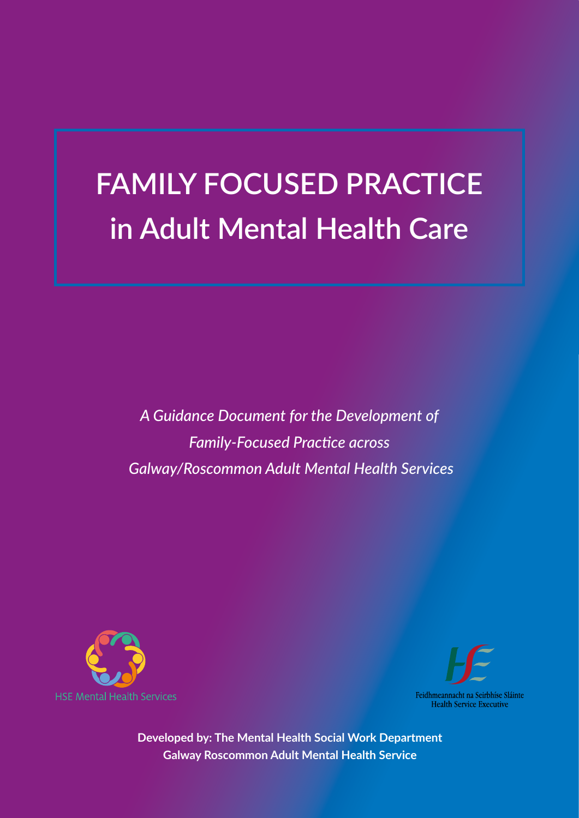# **FAMILY FOCUSED PRACTICE in Adult Mental Health Care**

*A Guidance Document for the Development of Family-Focused Practice across Galway/Roscommon Adult Mental Health Services* 





**Developed by: The Mental Health Social Work Department Galway Roscommon Adult Mental Health Service**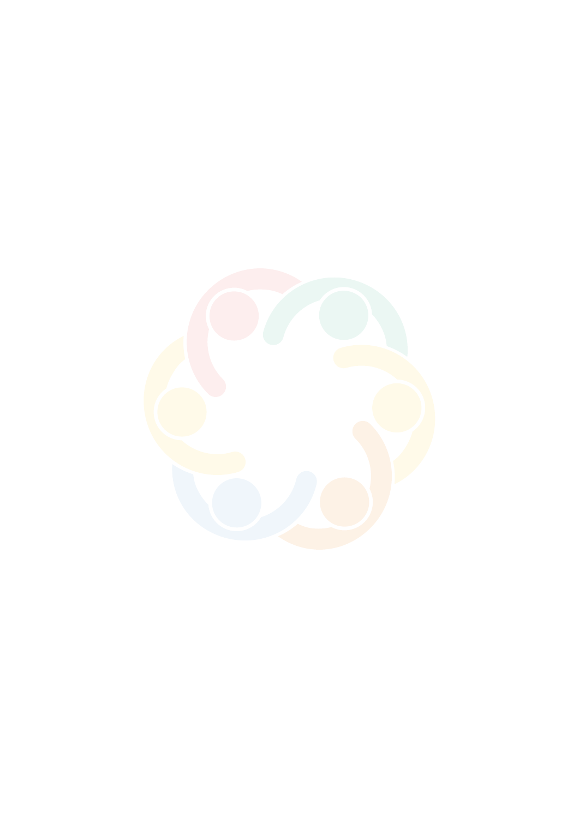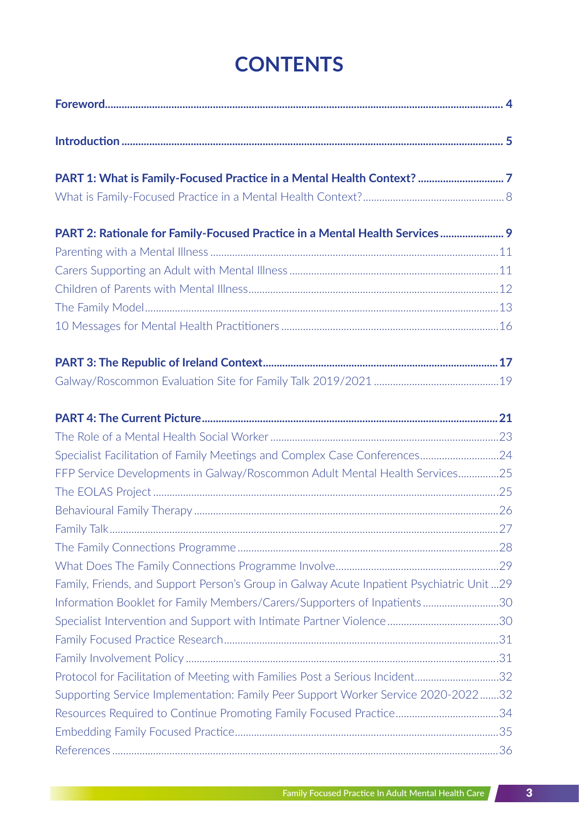# **CONTENTS**

| PART 1: What is Family-Focused Practice in a Mental Health Context?  7                    |  |
|-------------------------------------------------------------------------------------------|--|
|                                                                                           |  |
| PART 2: Rationale for Family-Focused Practice in a Mental Health Services 9               |  |
|                                                                                           |  |
|                                                                                           |  |
|                                                                                           |  |
|                                                                                           |  |
|                                                                                           |  |
|                                                                                           |  |
|                                                                                           |  |
|                                                                                           |  |
|                                                                                           |  |
| Specialist Facilitation of Family Meetings and Complex Case Conferences24                 |  |
| FFP Service Developments in Galway/Roscommon Adult Mental Health Services25               |  |
|                                                                                           |  |
|                                                                                           |  |
|                                                                                           |  |
|                                                                                           |  |
|                                                                                           |  |
| Family, Friends, and Support Person's Group in Galway Acute Inpatient Psychiatric Unit 29 |  |
| Information Booklet for Family Members/Carers/Supporters of Inpatients30                  |  |
|                                                                                           |  |
|                                                                                           |  |
|                                                                                           |  |
| Protocol for Facilitation of Meeting with Families Post a Serious Incident32              |  |
| Supporting Service Implementation: Family Peer Support Worker Service 2020-202232         |  |
|                                                                                           |  |
|                                                                                           |  |
|                                                                                           |  |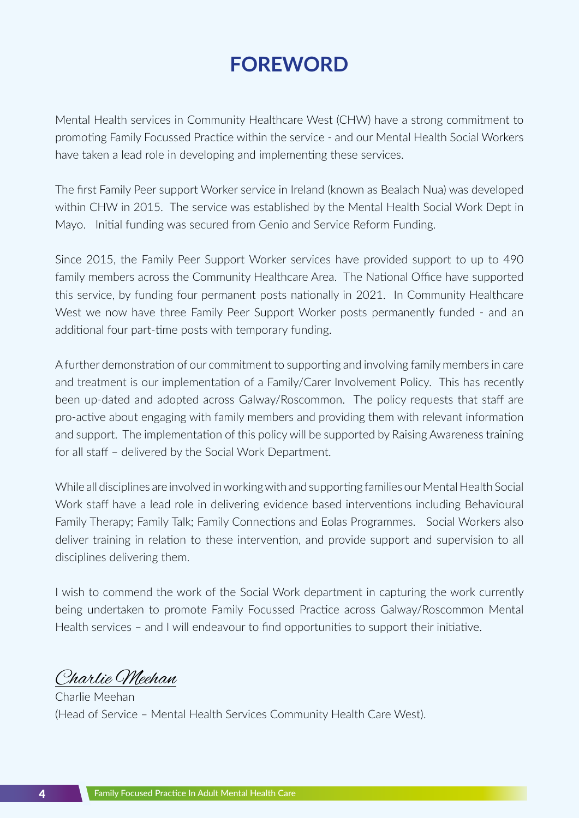## **FOREWORD**

Mental Health services in Community Healthcare West (CHW) have a strong commitment to promoting Family Focussed Practice within the service - and our Mental Health Social Workers have taken a lead role in developing and implementing these services.

The first Family Peer support Worker service in Ireland (known as Bealach Nua) was developed within CHW in 2015. The service was established by the Mental Health Social Work Dept in Mayo. Initial funding was secured from Genio and Service Reform Funding.

Since 2015, the Family Peer Support Worker services have provided support to up to 490 family members across the Community Healthcare Area. The National Office have supported this service, by funding four permanent posts nationally in 2021. In Community Healthcare West we now have three Family Peer Support Worker posts permanently funded - and an additional four part-time posts with temporary funding.

A further demonstration of our commitment to supporting and involving family members in care and treatment is our implementation of a Family/Carer Involvement Policy. This has recently been up-dated and adopted across Galway/Roscommon. The policy requests that staff are pro-active about engaging with family members and providing them with relevant information and support. The implementation of this policy will be supported by Raising Awareness training for all staff – delivered by the Social Work Department.

While all disciplines are involved in working with and supporting families our Mental Health Social Work staff have a lead role in delivering evidence based interventions including Behavioural Family Therapy; Family Talk; Family Connections and Eolas Programmes. Social Workers also deliver training in relation to these intervention, and provide support and supervision to all disciplines delivering them.

I wish to commend the work of the Social Work department in capturing the work currently being undertaken to promote Family Focussed Practice across Galway/Roscommon Mental Health services – and I will endeavour to find opportunities to support their initiative.

Charlie Meehan

Charlie Meehan (Head of Service – Mental Health Services Community Health Care West).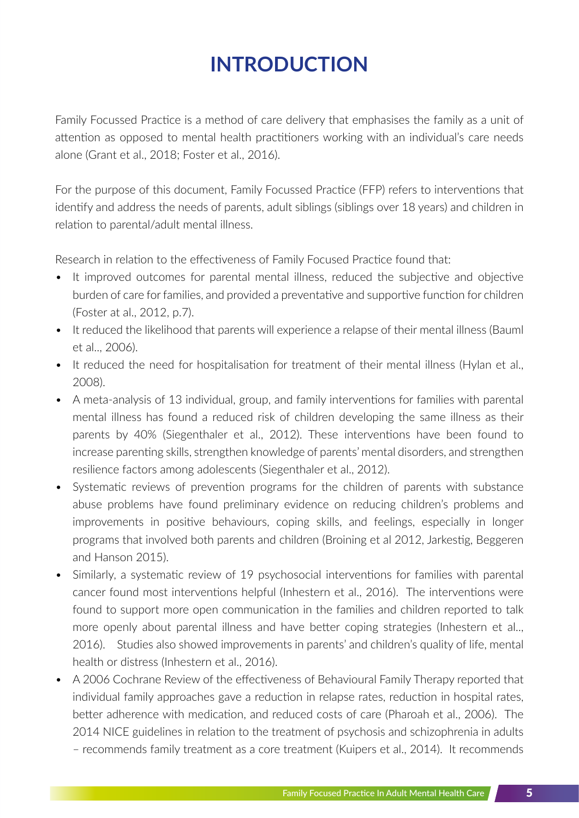# **INTRODUCTION**

Family Focussed Practice is a method of care delivery that emphasises the family as a unit of attention as opposed to mental health practitioners working with an individual's care needs alone (Grant et al., 2018; Foster et al., 2016).

For the purpose of this document, Family Focussed Practice (FFP) refers to interventions that identify and address the needs of parents, adult siblings (siblings over 18 years) and children in relation to parental/adult mental illness.

Research in relation to the effectiveness of Family Focused Practice found that:

- It improved outcomes for parental mental illness, reduced the subjective and objective burden of care for families, and provided a preventative and supportive function for children (Foster at al., 2012, p.7).
- It reduced the likelihood that parents will experience a relapse of their mental illness (Bauml et al.., 2006).
- It reduced the need for hospitalisation for treatment of their mental illness (Hylan et al., 2008).
- A meta-analysis of 13 individual, group, and family interventions for families with parental mental illness has found a reduced risk of children developing the same illness as their parents by 40% (Siegenthaler et al., 2012). These interventions have been found to increase parenting skills, strengthen knowledge of parents' mental disorders, and strengthen resilience factors among adolescents (Siegenthaler et al., 2012).
- Systematic reviews of prevention programs for the children of parents with substance abuse problems have found preliminary evidence on reducing children's problems and improvements in positive behaviours, coping skills, and feelings, especially in longer programs that involved both parents and children (Broining et al 2012, Jarkestig, Beggeren and Hanson 2015).
- Similarly, a systematic review of 19 psychosocial interventions for families with parental cancer found most interventions helpful (Inhestern et al., 2016). The interventions were found to support more open communication in the families and children reported to talk more openly about parental illness and have better coping strategies (Inhestern et al.., 2016). Studies also showed improvements in parents' and children's quality of life, mental health or distress (Inhestern et al., 2016).
- A 2006 Cochrane Review of the effectiveness of Behavioural Family Therapy reported that individual family approaches gave a reduction in relapse rates, reduction in hospital rates, better adherence with medication, and reduced costs of care (Pharoah et al., 2006). The 2014 NICE guidelines in relation to the treatment of psychosis and schizophrenia in adults
	- recommends family treatment as a core treatment (Kuipers et al., 2014). It recommends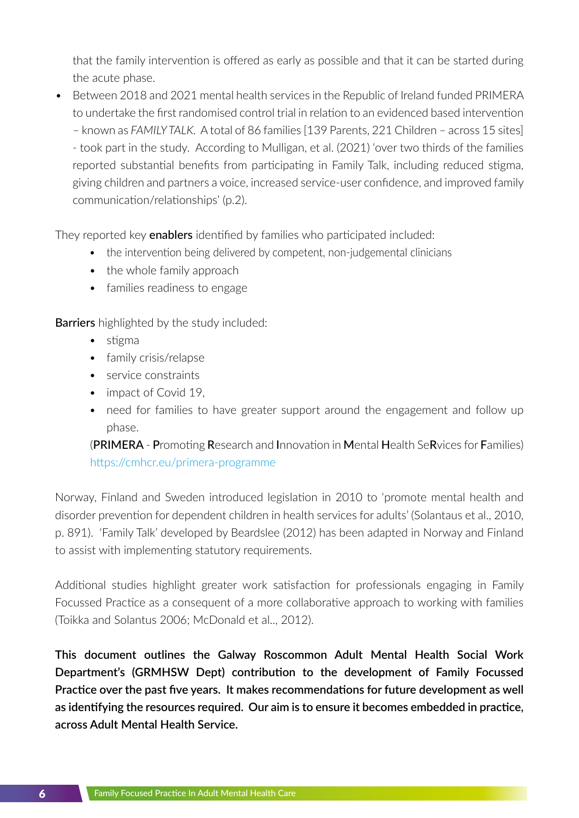that the family intervention is offered as early as possible and that it can be started during the acute phase.

• Between 2018 and 2021 mental health services in the Republic of Ireland funded PRIMERA to undertake the first randomised control trial in relation to an evidenced based intervention – known as *FAMILY TALK.* A total of 86 families [139 Parents, 221 Children – across 15 sites] - took part in the study. According to Mulligan, et al. (2021) 'over two thirds of the families reported substantial benefits from participating in Family Talk, including reduced stigma, giving children and partners a voice, increased service-user confidence, and improved family communication/relationships' (p.2).

They reported key **enablers** identified by families who participated included:

- the intervention being delivered by competent, non-judgemental clinicians
- the whole family approach
- families readiness to engage

**Barriers** highlighted by the study included:

- stigma
- family crisis/relapse
- service constraints
- impact of Covid 19,
- need for families to have greater support around the engagement and follow up phase.

(PRIMERA - Promoting Research and Innovation in Mental Health SeRvices for Families) https://cmhcr.eu/primera-programme

Norway, Finland and Sweden introduced legislation in 2010 to 'promote mental health and disorder prevention for dependent children in health services for adults' (Solantaus et al., 2010, p. 891). 'Family Talk' developed by Beardslee (2012) has been adapted in Norway and Finland to assist with implementing statutory requirements.

Additional studies highlight greater work satisfaction for professionals engaging in Family Focussed Practice as a consequent of a more collaborative approach to working with families (Toikka and Solantus 2006; McDonald et al.., 2012).

**This document outlines the Galway Roscommon Adult Mental Health Social Work Department's (GRMHSW Dept) contribution to the development of Family Focussed Practice over the past five years. It makes recommendations for future development as well as identifying the resources required. Our aim is to ensure it becomes embedded in practice, across Adult Mental Health Service.**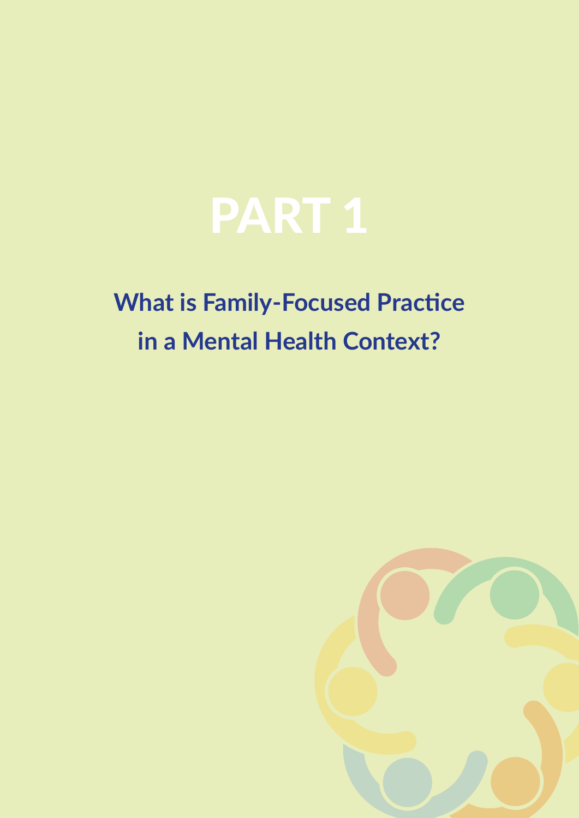

# **What is Family-Focused Practice in a Mental Health Context?**

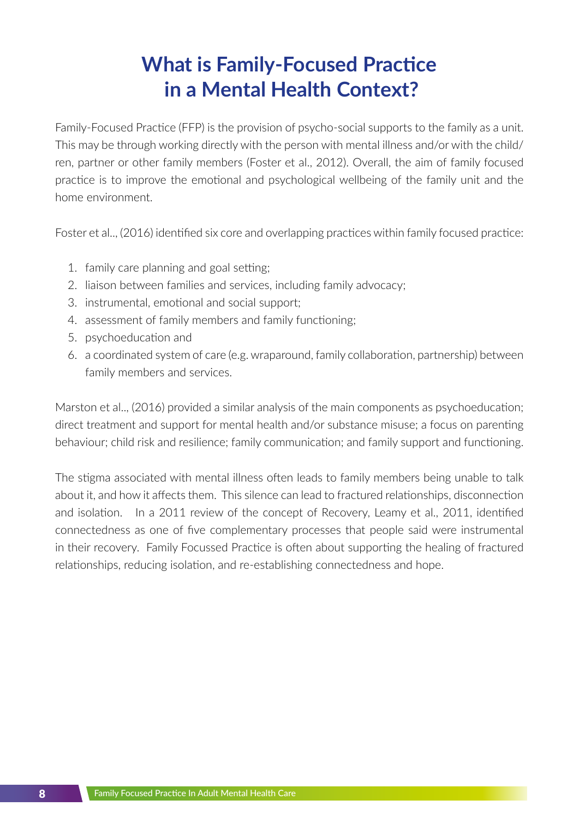# **What is Family-Focused Practice in a Mental Health Context?**

Family-Focused Practice (FFP) is the provision of psycho-social supports to the family as a unit. This may be through working directly with the person with mental illness and/or with the child/ ren, partner or other family members (Foster et al., 2012). Overall, the aim of family focused practice is to improve the emotional and psychological wellbeing of the family unit and the home environment.

Foster et al.., (2016) identified six core and overlapping practices within family focused practice:

- 1. family care planning and goal setting;
- 2. liaison between families and services, including family advocacy;
- 3. instrumental, emotional and social support;
- 4. assessment of family members and family functioning;
- 5. psychoeducation and
- 6. a coordinated system of care (e.g. wraparound, family collaboration, partnership) between family members and services.

Marston et al.., (2016) provided a similar analysis of the main components as psychoeducation; direct treatment and support for mental health and/or substance misuse; a focus on parenting behaviour; child risk and resilience; family communication; and family support and functioning.

The stigma associated with mental illness often leads to family members being unable to talk about it, and how it affects them. This silence can lead to fractured relationships, disconnection and isolation. In a 2011 review of the concept of Recovery, Leamy et al., 2011, identified connectedness as one of five complementary processes that people said were instrumental in their recovery. Family Focussed Practice is often about supporting the healing of fractured relationships, reducing isolation, and re-establishing connectedness and hope.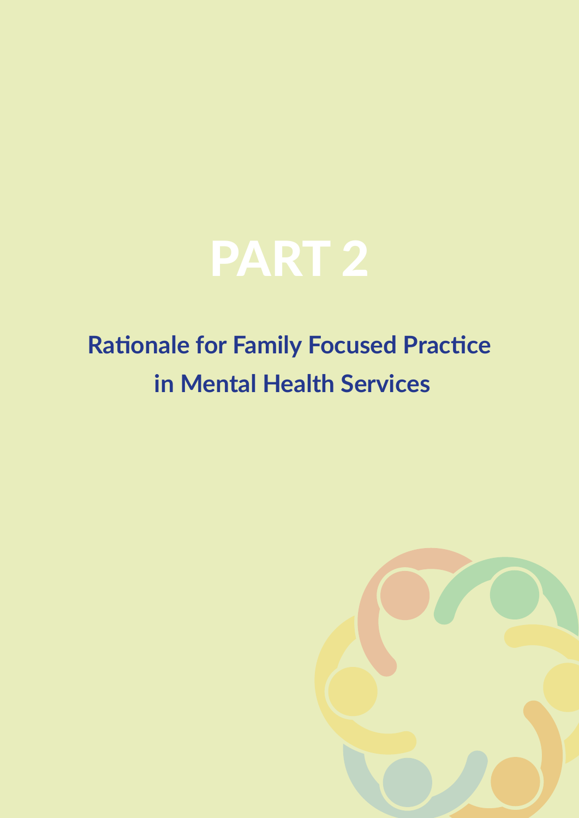

# **Rationale for Family Focused Practice in Mental Health Services**

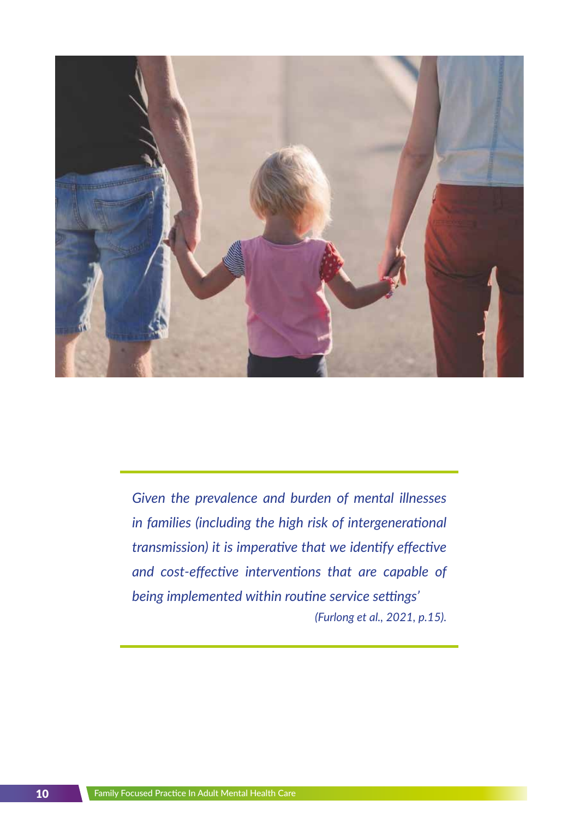

*Given the prevalence and burden of mental illnesses in families (including the high risk of intergenerational transmission) it is imperative that we identify effective and cost-effective interventions that are capable of being implemented within routine service settings' (Furlong et al., 2021, p.15).*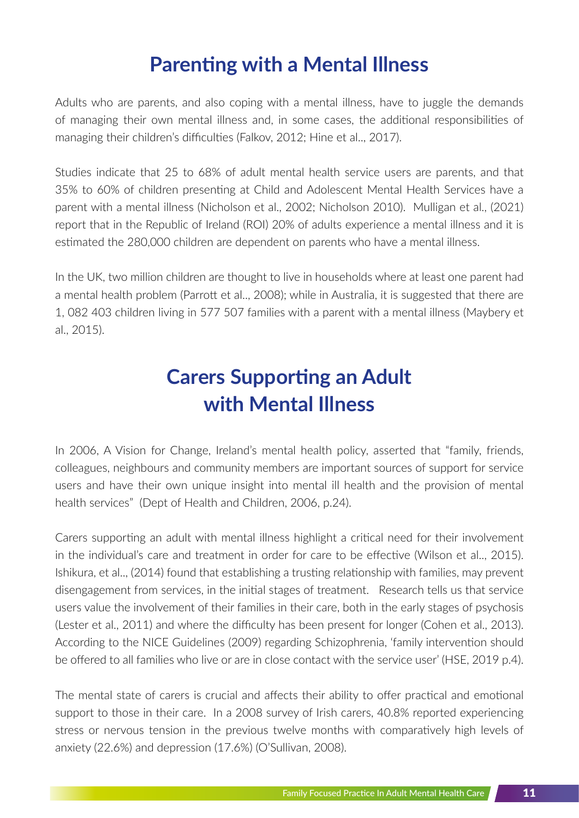#### **Parenting with a Mental Illness**

Adults who are parents, and also coping with a mental illness, have to juggle the demands of managing their own mental illness and, in some cases, the additional responsibilities of managing their children's difficulties (Falkov, 2012; Hine et al.., 2017).

Studies indicate that 25 to 68% of adult mental health service users are parents, and that 35% to 60% of children presenting at Child and Adolescent Mental Health Services have a parent with a mental illness (Nicholson et al., 2002; Nicholson 2010). Mulligan et al., (2021) report that in the Republic of Ireland (ROI) 20% of adults experience a mental illness and it is estimated the 280,000 children are dependent on parents who have a mental illness.

In the UK, two million children are thought to live in households where at least one parent had a mental health problem (Parrott et al.., 2008); while in Australia, it is suggested that there are 1, 082 403 children living in 577 507 families with a parent with a mental illness (Maybery et al., 2015).

# **Carers Supporting an Adult with Mental Illness**

In 2006, A Vision for Change, Ireland's mental health policy, asserted that "family, friends, colleagues, neighbours and community members are important sources of support for service users and have their own unique insight into mental ill health and the provision of mental health services" (Dept of Health and Children, 2006, p.24).

Carers supporting an adult with mental illness highlight a critical need for their involvement in the individual's care and treatment in order for care to be effective (Wilson et al.., 2015). Ishikura, et al.., (2014) found that establishing a trusting relationship with families, may prevent disengagement from services, in the initial stages of treatment. Research tells us that service users value the involvement of their families in their care, both in the early stages of psychosis (Lester et al., 2011) and where the difficulty has been present for longer (Cohen et al., 2013). According to the NICE Guidelines (2009) regarding Schizophrenia, 'family intervention should be offered to all families who live or are in close contact with the service user' (HSE, 2019 p.4).

The mental state of carers is crucial and affects their ability to offer practical and emotional support to those in their care. In a 2008 survey of Irish carers, 40.8% reported experiencing stress or nervous tension in the previous twelve months with comparatively high levels of anxiety (22.6%) and depression (17.6%) (O'Sullivan, 2008).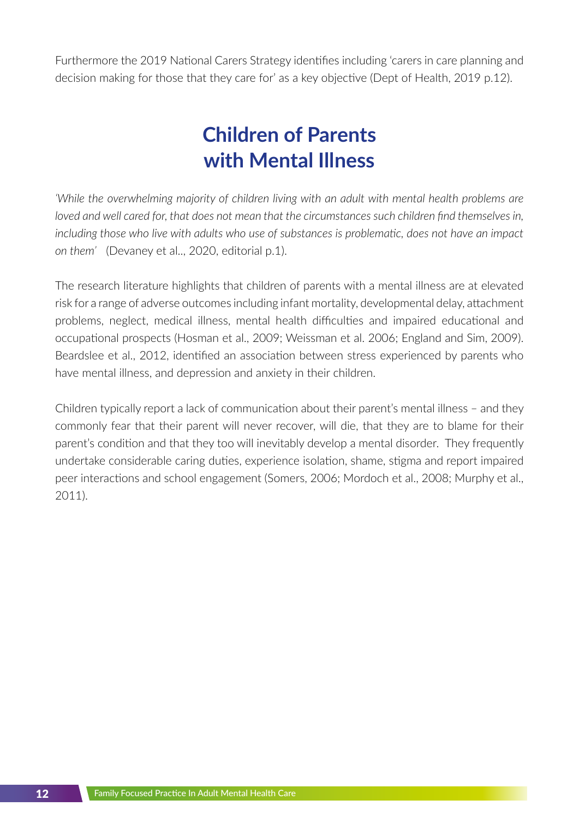Furthermore the 2019 National Carers Strategy identifies including 'carers in care planning and decision making for those that they care for' as a key objective (Dept of Health, 2019 p.12).

#### **Children of Parents with Mental Illness**

*'While the overwhelming majority of children living with an adult with mental health problems are loved and well cared for, that does not mean that the circumstances such children find themselves in, including those who live with adults who use of substances is problematic, does not have an impact on them'* (Devaney et al.., 2020, editorial p.1).

The research literature highlights that children of parents with a mental illness are at elevated risk for a range of adverse outcomes including infant mortality, developmental delay, attachment problems, neglect, medical illness, mental health difficulties and impaired educational and occupational prospects (Hosman et al., 2009; Weissman et al. 2006; England and Sim, 2009). Beardslee et al., 2012, identified an association between stress experienced by parents who have mental illness, and depression and anxiety in their children.

Children typically report a lack of communication about their parent's mental illness – and they commonly fear that their parent will never recover, will die, that they are to blame for their parent's condition and that they too will inevitably develop a mental disorder. They frequently undertake considerable caring duties, experience isolation, shame, stigma and report impaired peer interactions and school engagement (Somers, 2006; Mordoch et al., 2008; Murphy et al., 2011).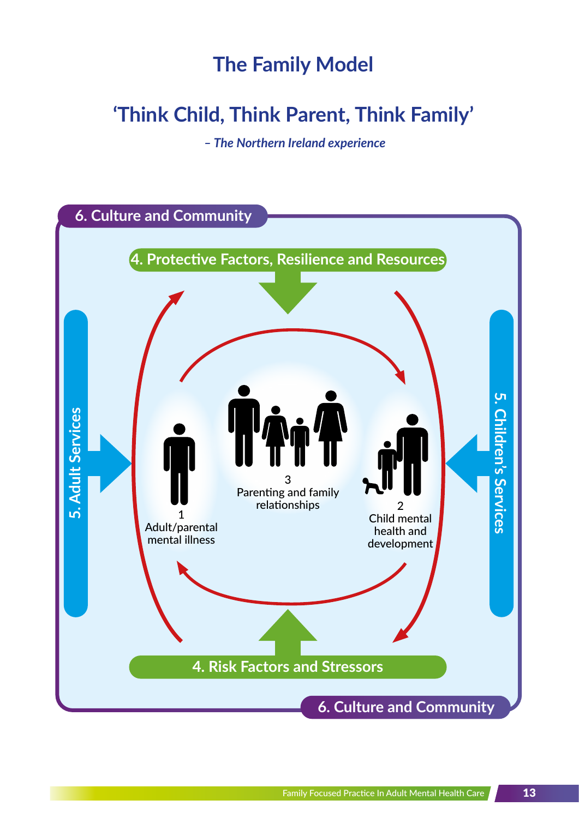### **The Family Model**

### **'Think Child, Think Parent, Think Family'**

 *– The Northern Ireland experience*

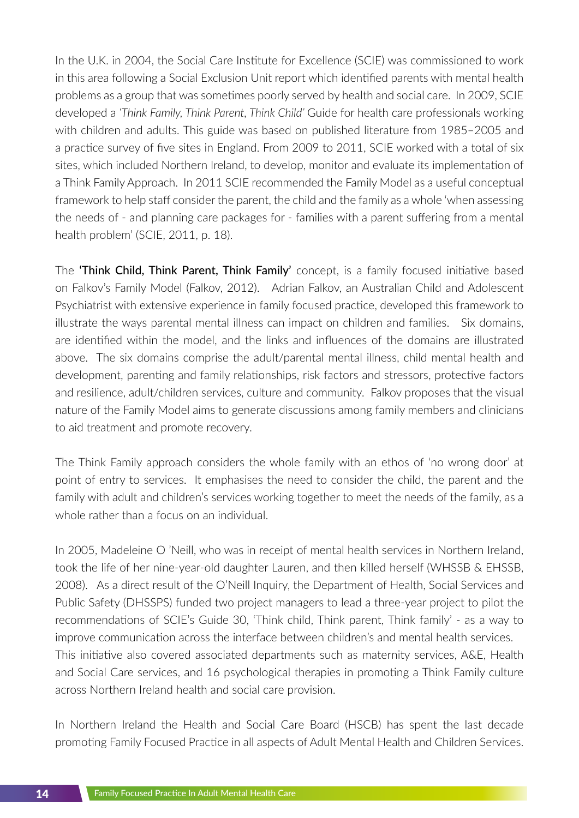In the U.K. in 2004, the Social Care Institute for Excellence (SCIE) was commissioned to work in this area following a Social Exclusion Unit report which identified parents with mental health problems as a group that was sometimes poorly served by health and social care. In 2009, SCIE developed a *'Think Family, Think Parent, Think Child'* Guide for health care professionals working with children and adults. This guide was based on published literature from 1985–2005 and a practice survey of five sites in England. From 2009 to 2011, SCIE worked with a total of six sites, which included Northern Ireland, to develop, monitor and evaluate its implementation of a Think Family Approach. In 2011 SCIE recommended the Family Model as a useful conceptual framework to help staff consider the parent, the child and the family as a whole 'when assessing the needs of - and planning care packages for - families with a parent suffering from a mental health problem' (SCIE, 2011, p. 18).

The 'Think Child, Think Parent, Think Family' concept, is a family focused initiative based on Falkov's Family Model (Falkov, 2012). Adrian Falkov, an Australian Child and Adolescent Psychiatrist with extensive experience in family focused practice, developed this framework to illustrate the ways parental mental illness can impact on children and families. Six domains, are identified within the model, and the links and influences of the domains are illustrated above. The six domains comprise the adult/parental mental illness, child mental health and development, parenting and family relationships, risk factors and stressors, protective factors and resilience, adult/children services, culture and community. Falkov proposes that the visual nature of the Family Model aims to generate discussions among family members and clinicians to aid treatment and promote recovery.

The Think Family approach considers the whole family with an ethos of 'no wrong door' at point of entry to services. It emphasises the need to consider the child, the parent and the family with adult and children's services working together to meet the needs of the family, as a whole rather than a focus on an individual.

In 2005, Madeleine O 'Neill, who was in receipt of mental health services in Northern Ireland, took the life of her nine-year-old daughter Lauren, and then killed herself (WHSSB & EHSSB, 2008). As a direct result of the O'Neill Inquiry, the Department of Health, Social Services and Public Safety (DHSSPS) funded two project managers to lead a three-year project to pilot the recommendations of SCIE's Guide 30, 'Think child, Think parent, Think family' - as a way to improve communication across the interface between children's and mental health services. This initiative also covered associated departments such as maternity services, A&E, Health and Social Care services, and 16 psychological therapies in promoting a Think Family culture across Northern Ireland health and social care provision.

In Northern Ireland the Health and Social Care Board (HSCB) has spent the last decade promoting Family Focused Practice in all aspects of Adult Mental Health and Children Services.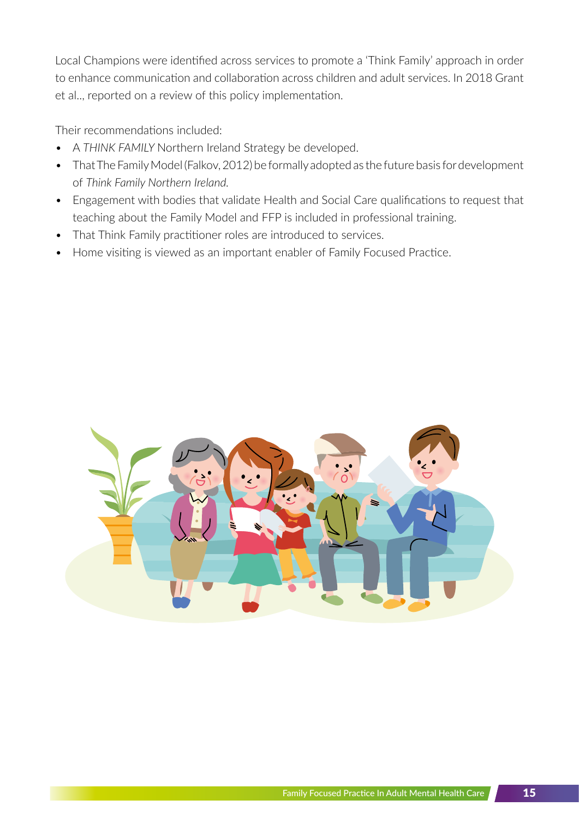Local Champions were identified across services to promote a 'Think Family' approach in order to enhance communication and collaboration across children and adult services. In 2018 Grant et al.., reported on a review of this policy implementation.

Their recommendations included:

- A *THINK FAMILY* Northern Ireland Strategy be developed.
- That The Family Model (Falkov, 2012) be formally adopted as the future basis for development of *Think Family Northern Ireland.*
- Engagement with bodies that validate Health and Social Care qualifications to request that teaching about the Family Model and FFP is included in professional training.
- That Think Family practitioner roles are introduced to services.
- Home visiting is viewed as an important enabler of Family Focused Practice.

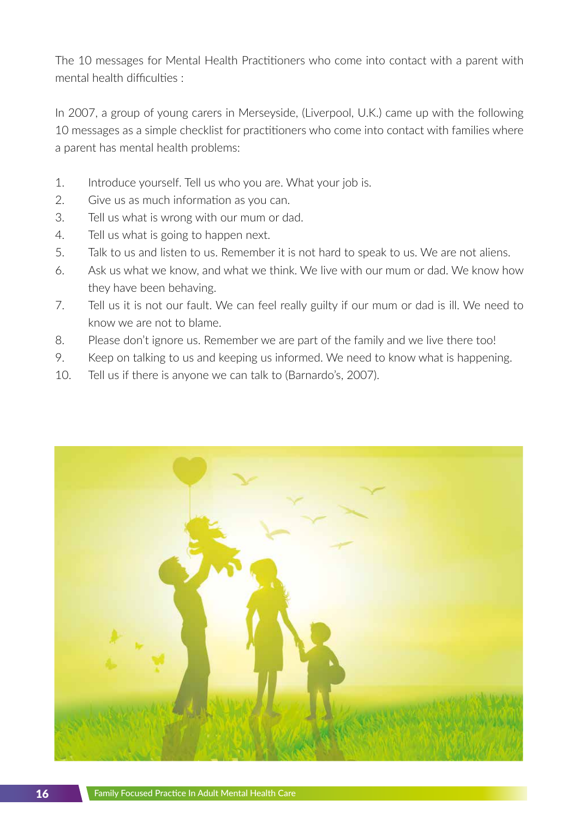The 10 messages for Mental Health Practitioners who come into contact with a parent with mental health difficulties :

In 2007, a group of young carers in Merseyside, (Liverpool, U.K.) came up with the following 10 messages as a simple checklist for practitioners who come into contact with families where a parent has mental health problems:

- 1. Introduce yourself. Tell us who you are. What your job is.
- 2. Give us as much information as you can.
- 3. Tell us what is wrong with our mum or dad.
- 4. Tell us what is going to happen next.
- 5. Talk to us and listen to us. Remember it is not hard to speak to us. We are not aliens.
- 6. Ask us what we know, and what we think. We live with our mum or dad. We know how they have been behaving.
- 7. Tell us it is not our fault. We can feel really guilty if our mum or dad is ill. We need to know we are not to blame.
- 8. Please don't ignore us. Remember we are part of the family and we live there too!
- 9. Keep on talking to us and keeping us informed. We need to know what is happening.
- 10. Tell us if there is anyone we can talk to (Barnardo's, 2007).

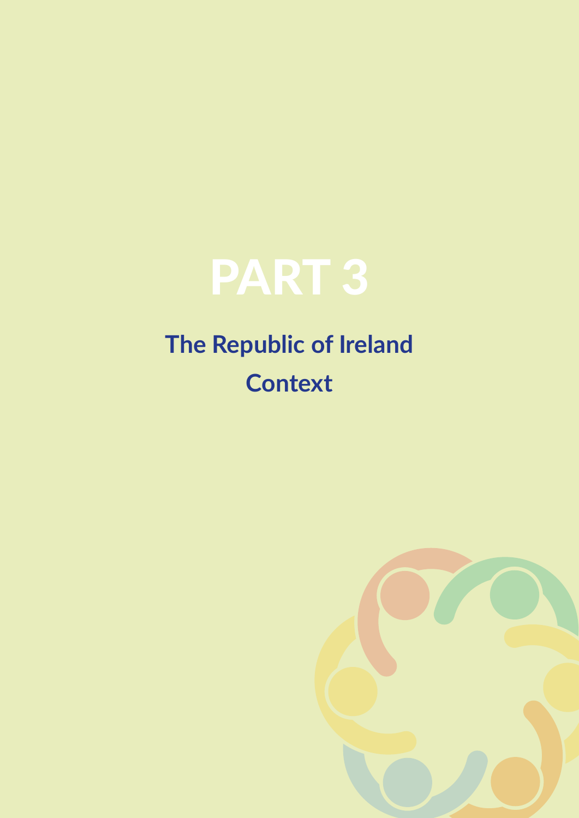

# **The Republic of Ireland Context**

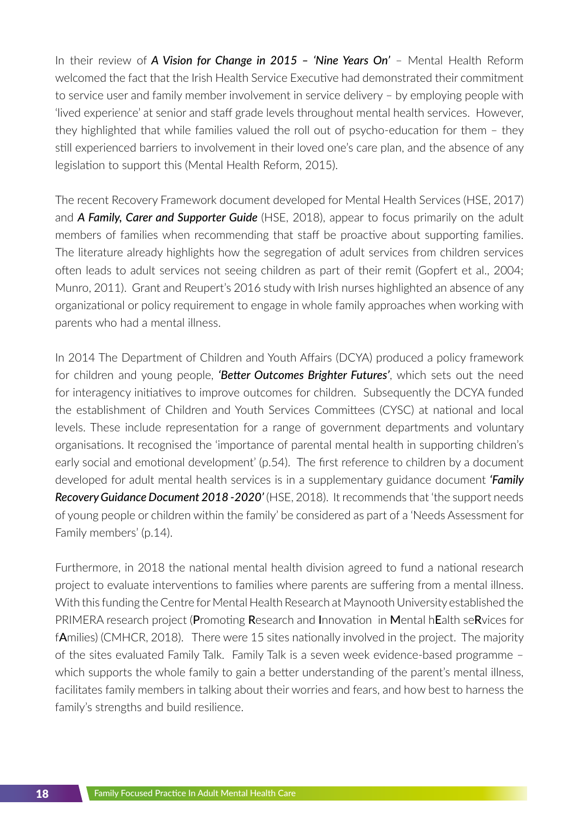In their review of *A Vision for Change in 2015 – 'Nine Years On'* – Mental Health Reform welcomed the fact that the Irish Health Service Executive had demonstrated their commitment to service user and family member involvement in service delivery – by employing people with 'lived experience' at senior and staff grade levels throughout mental health services. However, they highlighted that while families valued the roll out of psycho-education for them – they still experienced barriers to involvement in their loved one's care plan, and the absence of any legislation to support this (Mental Health Reform, 2015).

The recent Recovery Framework document developed for Mental Health Services (HSE, 2017) and *A Family, Carer and Supporter Guide* (HSE, 2018), appear to focus primarily on the adult members of families when recommending that staff be proactive about supporting families. The literature already highlights how the segregation of adult services from children services often leads to adult services not seeing children as part of their remit (Gopfert et al., 2004; Munro, 2011). Grant and Reupert's 2016 study with Irish nurses highlighted an absence of any organizational or policy requirement to engage in whole family approaches when working with parents who had a mental illness.

In 2014 The Department of Children and Youth Affairs (DCYA) produced a policy framework for children and young people, *'Better Outcomes Brighter Futures'*, which sets out the need for interagency initiatives to improve outcomes for children. Subsequently the DCYA funded the establishment of Children and Youth Services Committees (CYSC) at national and local levels. These include representation for a range of government departments and voluntary organisations. It recognised the 'importance of parental mental health in supporting children's early social and emotional development' (p.54). The first reference to children by a document developed for adult mental health services is in a supplementary guidance document *'Family Recovery Guidance Document 2018 -2020'* (HSE, 2018). It recommends that 'the support needs of young people or children within the family' be considered as part of a 'Needs Assessment for Family members' (p.14).

Furthermore, in 2018 the national mental health division agreed to fund a national research project to evaluate interventions to families where parents are suffering from a mental illness. With this funding the Centre for Mental Health Research at Maynooth University established the PRIMERA research project (Promoting Research and Innovation in Mental hEalth seRvices for fAmilies) (CMHCR, 2018). There were 15 sites nationally involved in the project. The majority of the sites evaluated Family Talk. Family Talk is a seven week evidence-based programme – which supports the whole family to gain a better understanding of the parent's mental illness, facilitates family members in talking about their worries and fears, and how best to harness the family's strengths and build resilience.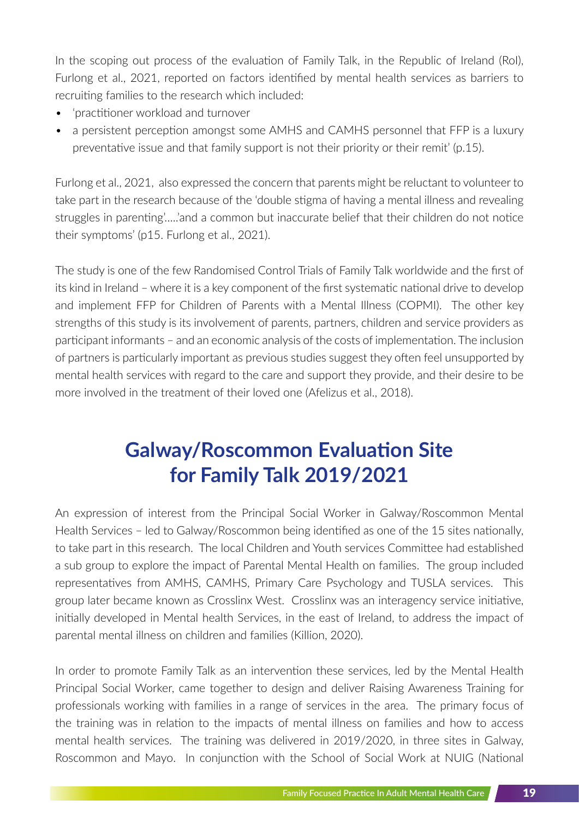In the scoping out process of the evaluation of Family Talk, in the Republic of Ireland (RoI), Furlong et al., 2021, reported on factors identified by mental health services as barriers to recruiting families to the research which included:

- 'practitioner workload and turnover
- a persistent perception amongst some AMHS and CAMHS personnel that FFP is a luxury preventative issue and that family support is not their priority or their remit' (p.15).

Furlong et al., 2021, also expressed the concern that parents might be reluctant to volunteer to take part in the research because of the 'double stigma of having a mental illness and revealing struggles in parenting'…..'and a common but inaccurate belief that their children do not notice their symptoms' (p15. Furlong et al., 2021).

The study is one of the few Randomised Control Trials of Family Talk worldwide and the first of its kind in Ireland – where it is a key component of the first systematic national drive to develop and implement FFP for Children of Parents with a Mental Illness (COPMI). The other key strengths of this study is its involvement of parents, partners, children and service providers as participant informants – and an economic analysis of the costs of implementation. The inclusion of partners is particularly important as previous studies suggest they often feel unsupported by mental health services with regard to the care and support they provide, and their desire to be more involved in the treatment of their loved one (Afelizus et al., 2018).

# **Galway/Roscommon Evaluation Site for Family Talk 2019/2021**

An expression of interest from the Principal Social Worker in Galway/Roscommon Mental Health Services – led to Galway/Roscommon being identified as one of the 15 sites nationally, to take part in this research. The local Children and Youth services Committee had established a sub group to explore the impact of Parental Mental Health on families. The group included representatives from AMHS, CAMHS, Primary Care Psychology and TUSLA services. This group later became known as Crosslinx West. Crosslinx was an interagency service initiative, initially developed in Mental health Services, in the east of Ireland, to address the impact of parental mental illness on children and families (Killion, 2020).

In order to promote Family Talk as an intervention these services, led by the Mental Health Principal Social Worker, came together to design and deliver Raising Awareness Training for professionals working with families in a range of services in the area. The primary focus of the training was in relation to the impacts of mental illness on families and how to access mental health services. The training was delivered in 2019/2020, in three sites in Galway, Roscommon and Mayo. In conjunction with the School of Social Work at NUIG (National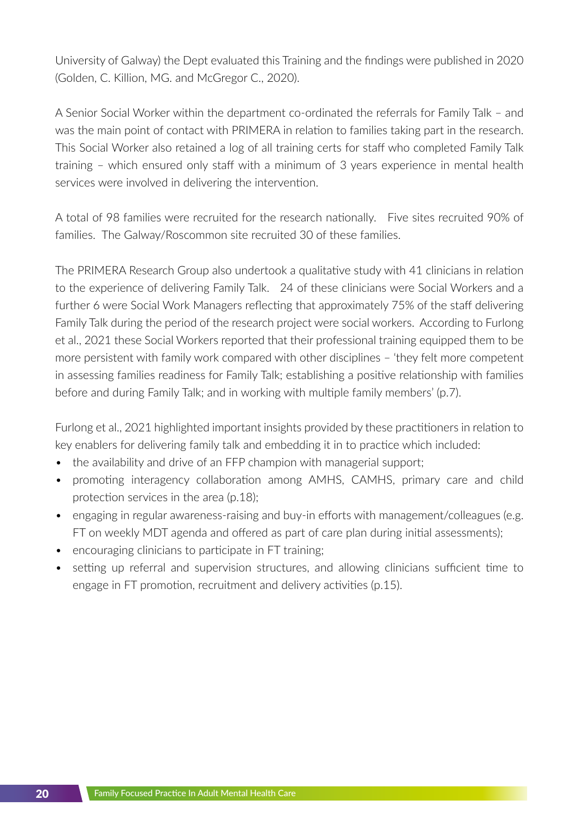University of Galway) the Dept evaluated this Training and the findings were published in 2020 (Golden, C. Killion, MG. and McGregor C., 2020).

A Senior Social Worker within the department co-ordinated the referrals for Family Talk – and was the main point of contact with PRIMERA in relation to families taking part in the research. This Social Worker also retained a log of all training certs for staff who completed Family Talk training – which ensured only staff with a minimum of 3 years experience in mental health services were involved in delivering the intervention.

A total of 98 families were recruited for the research nationally. Five sites recruited 90% of families. The Galway/Roscommon site recruited 30 of these families.

The PRIMERA Research Group also undertook a qualitative study with 41 clinicians in relation to the experience of delivering Family Talk. 24 of these clinicians were Social Workers and a further 6 were Social Work Managers reflecting that approximately 75% of the staff delivering Family Talk during the period of the research project were social workers. According to Furlong et al., 2021 these Social Workers reported that their professional training equipped them to be more persistent with family work compared with other disciplines – 'they felt more competent in assessing families readiness for Family Talk; establishing a positive relationship with families before and during Family Talk; and in working with multiple family members' (p.7).

Furlong et al., 2021 highlighted important insights provided by these practitioners in relation to key enablers for delivering family talk and embedding it in to practice which included:

- the availability and drive of an FFP champion with managerial support;
- promoting interagency collaboration among AMHS, CAMHS, primary care and child protection services in the area (p.18);
- engaging in regular awareness-raising and buy-in efforts with management/colleagues (e.g. FT on weekly MDT agenda and offered as part of care plan during initial assessments);
- encouraging clinicians to participate in FT training;
- setting up referral and supervision structures, and allowing clinicians sufficient time to engage in FT promotion, recruitment and delivery activities (p.15).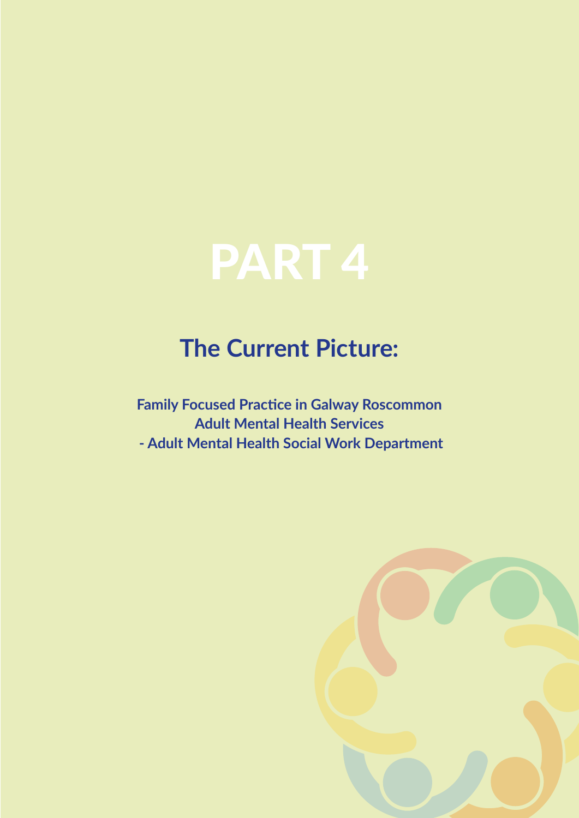

# **The Current Picture:**

**Family Focused Practice in Galway Roscommon Adult Mental Health Services - Adult Mental Health Social Work Department** 

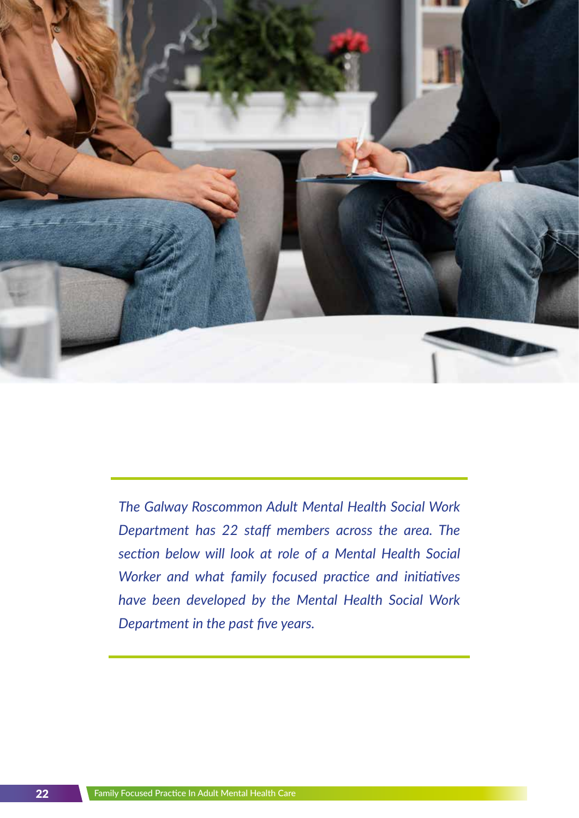

*The Galway Roscommon Adult Mental Health Social Work Department has 22 staff members across the area. The section below will look at role of a Mental Health Social Worker and what family focused practice and initiatives have been developed by the Mental Health Social Work Department in the past five years.*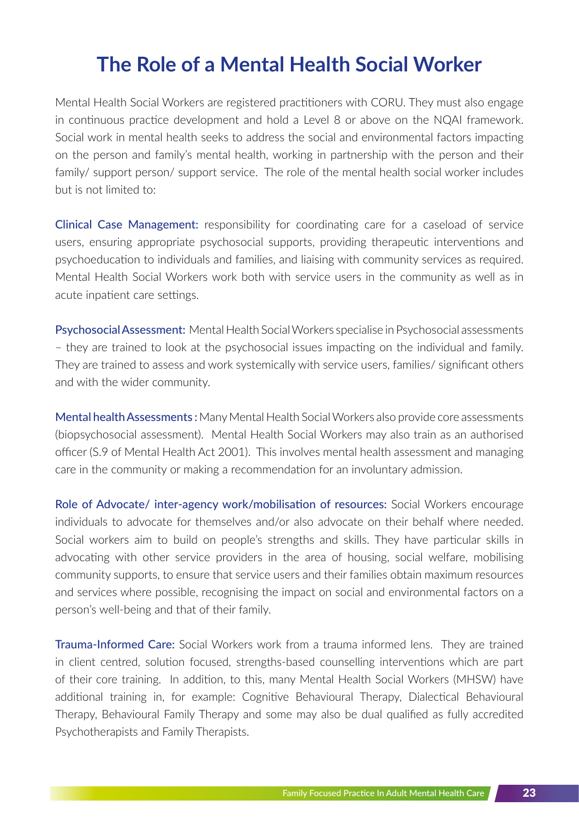#### **The Role of a Mental Health Social Worker**

Mental Health Social Workers are registered practitioners with CORU. They must also engage in continuous practice development and hold a Level 8 or above on the NQAI framework. Social work in mental health seeks to address the social and environmental factors impacting on the person and family's mental health, working in partnership with the person and their family/ support person/ support service. The role of the mental health social worker includes but is not limited to:

Clinical Case Management: responsibility for coordinating care for a caseload of service users, ensuring appropriate psychosocial supports, providing therapeutic interventions and psychoeducation to individuals and families, and liaising with community services as required. Mental Health Social Workers work both with service users in the community as well as in acute inpatient care settings.

Psychosocial Assessment: Mental Health Social Workers specialise in Psychosocial assessments – they are trained to look at the psychosocial issues impacting on the individual and family. They are trained to assess and work systemically with service users, families/ significant others and with the wider community.

Mental health Assessments : Many Mental Health Social Workers also provide core assessments (biopsychosocial assessment). Mental Health Social Workers may also train as an authorised officer (S.9 of Mental Health Act 2001). This involves mental health assessment and managing care in the community or making a recommendation for an involuntary admission.

Role of Advocate/ inter-agency work/mobilisation of resources: Social Workers encourage individuals to advocate for themselves and/or also advocate on their behalf where needed. Social workers aim to build on people's strengths and skills. They have particular skills in advocating with other service providers in the area of housing, social welfare, mobilising community supports, to ensure that service users and their families obtain maximum resources and services where possible, recognising the impact on social and environmental factors on a person's well-being and that of their family.

Trauma-Informed Care: Social Workers work from a trauma informed lens. They are trained in client centred, solution focused, strengths-based counselling interventions which are part of their core training. In addition, to this, many Mental Health Social Workers (MHSW) have additional training in, for example: Cognitive Behavioural Therapy, Dialectical Behavioural Therapy, Behavioural Family Therapy and some may also be dual qualified as fully accredited Psychotherapists and Family Therapists.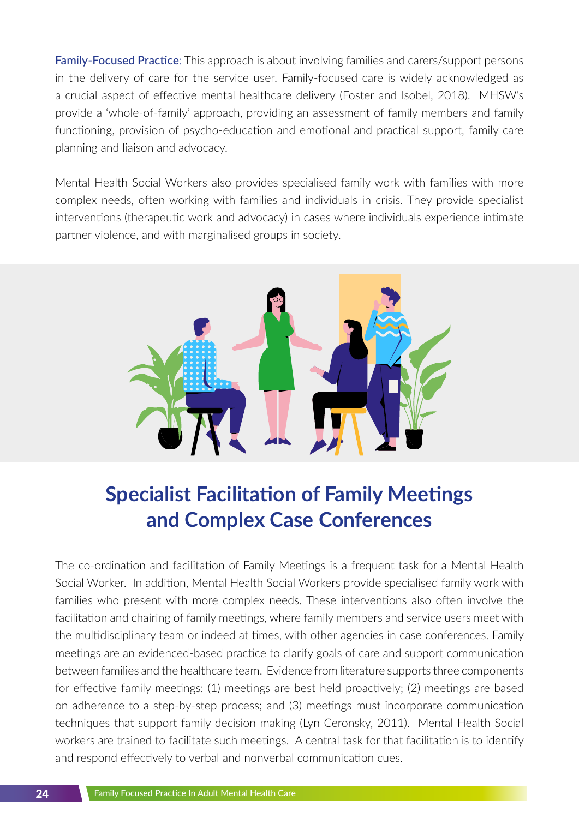Family-Focused Practice: This approach is about involving families and carers/support persons in the delivery of care for the service user. Family-focused care is widely acknowledged as a crucial aspect of effective mental healthcare delivery (Foster and Isobel, 2018). MHSW's provide a 'whole-of-family' approach, providing an assessment of family members and family functioning, provision of psycho-education and emotional and practical support, family care planning and liaison and advocacy.

Mental Health Social Workers also provides specialised family work with families with more complex needs, often working with families and individuals in crisis. They provide specialist interventions (therapeutic work and advocacy) in cases where individuals experience intimate partner violence, and with marginalised groups in society.



### **Specialist Facilitation of Family Meetings and Complex Case Conferences**

The co-ordination and facilitation of Family Meetings is a frequent task for a Mental Health Social Worker. In addition, Mental Health Social Workers provide specialised family work with families who present with more complex needs. These interventions also often involve the facilitation and chairing of family meetings, where family members and service users meet with the multidisciplinary team or indeed at times, with other agencies in case conferences. Family meetings are an evidenced-based practice to clarify goals of care and support communication between families and the healthcare team. Evidence from literature supports three components for effective family meetings: (1) meetings are best held proactively; (2) meetings are based on adherence to a step-by-step process; and (3) meetings must incorporate communication techniques that support family decision making (Lyn Ceronsky, 2011). Mental Health Social workers are trained to facilitate such meetings. A central task for that facilitation is to identify and respond effectively to verbal and nonverbal communication cues.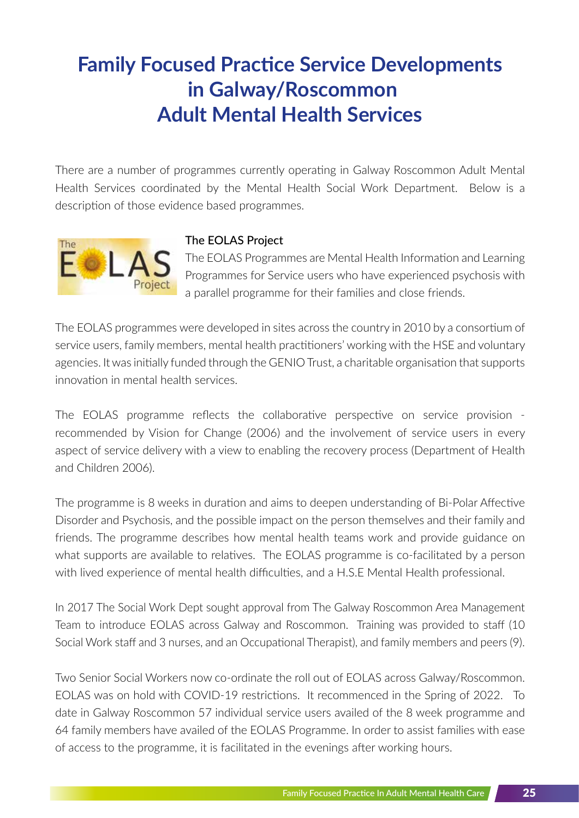# **Family Focused Practice Service Developments in Galway/Roscommon Adult Mental Health Services**

There are a number of programmes currently operating in Galway Roscommon Adult Mental Health Services coordinated by the Mental Health Social Work Department. Below is a description of those evidence based programmes.



#### The EOLAS Project

The EOLAS Programmes are Mental Health Information and Learning Programmes for Service users who have experienced psychosis with a parallel programme for their families and close friends.

The EOLAS programmes were developed in sites across the country in 2010 by a consortium of service users, family members, mental health practitioners' working with the HSE and voluntary agencies. It was initially funded through the GENIO Trust, a charitable organisation that supports innovation in mental health services.

The EOLAS programme reflects the collaborative perspective on service provision recommended by Vision for Change (2006) and the involvement of service users in every aspect of service delivery with a view to enabling the recovery process (Department of Health and Children 2006).

The programme is 8 weeks in duration and aims to deepen understanding of Bi-Polar Affective Disorder and Psychosis, and the possible impact on the person themselves and their family and friends. The programme describes how mental health teams work and provide guidance on what supports are available to relatives. The EOLAS programme is co-facilitated by a person with lived experience of mental health difficulties, and a H.S.E Mental Health professional.

In 2017 The Social Work Dept sought approval from The Galway Roscommon Area Management Team to introduce EOLAS across Galway and Roscommon. Training was provided to staff (10 Social Work staff and 3 nurses, and an Occupational Therapist), and family members and peers (9).

Two Senior Social Workers now co-ordinate the roll out of EOLAS across Galway/Roscommon. EOLAS was on hold with COVID-19 restrictions. It recommenced in the Spring of 2022. To date in Galway Roscommon 57 individual service users availed of the 8 week programme and 64 family members have availed of the EOLAS Programme. In order to assist families with ease of access to the programme, it is facilitated in the evenings after working hours.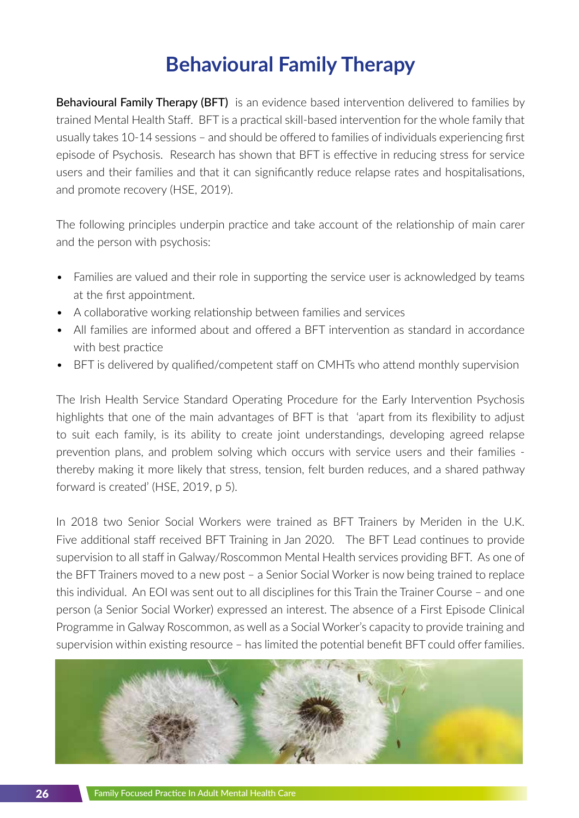#### **Behavioural Family Therapy**

**Behavioural Family Therapy (BFT)** is an evidence based intervention delivered to families by trained Mental Health Staff. BFT is a practical skill-based intervention for the whole family that usually takes 10-14 sessions – and should be offered to families of individuals experiencing first episode of Psychosis. Research has shown that BFT is effective in reducing stress for service users and their families and that it can significantly reduce relapse rates and hospitalisations, and promote recovery (HSE, 2019).

The following principles underpin practice and take account of the relationship of main carer and the person with psychosis:

- Families are valued and their role in supporting the service user is acknowledged by teams at the first appointment.
- A collaborative working relationship between families and services
- All families are informed about and offered a BFT intervention as standard in accordance with best practice
- BFT is delivered by qualified/competent staff on CMHTs who attend monthly supervision

The Irish Health Service Standard Operating Procedure for the Early Intervention Psychosis highlights that one of the main advantages of BFT is that 'apart from its flexibility to adjust to suit each family, is its ability to create joint understandings, developing agreed relapse prevention plans, and problem solving which occurs with service users and their families thereby making it more likely that stress, tension, felt burden reduces, and a shared pathway forward is created' (HSE, 2019, p 5).

In 2018 two Senior Social Workers were trained as BFT Trainers by Meriden in the U.K. Five additional staff received BFT Training in Jan 2020. The BFT Lead continues to provide supervision to all staff in Galway/Roscommon Mental Health services providing BFT. As one of the BFT Trainers moved to a new post – a Senior Social Worker is now being trained to replace this individual. An EOI was sent out to all disciplines for this Train the Trainer Course – and one person (a Senior Social Worker) expressed an interest. The absence of a First Episode Clinical Programme in Galway Roscommon, as well as a Social Worker's capacity to provide training and supervision within existing resource – has limited the potential benefit BFT could offer families.

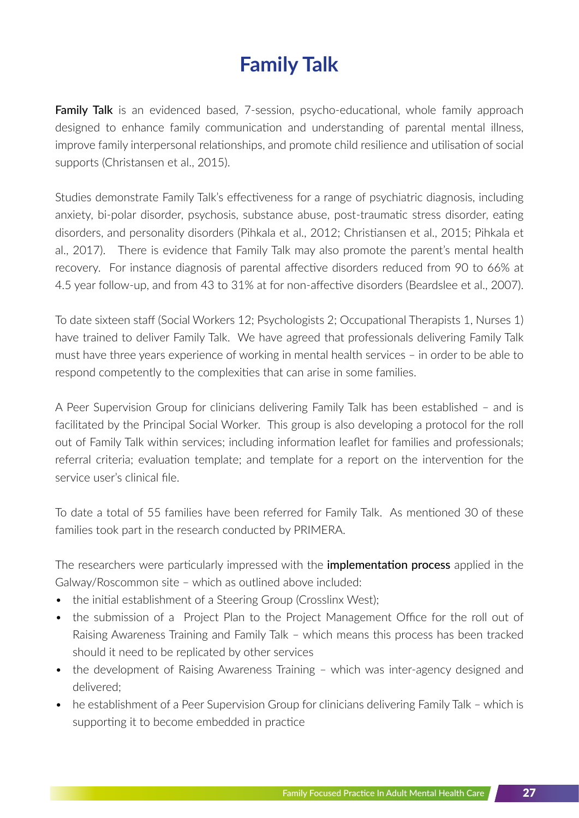# **Family Talk**

**Family Talk** is an evidenced based, 7-session, psycho-educational, whole family approach designed to enhance family communication and understanding of parental mental illness, improve family interpersonal relationships, and promote child resilience and utilisation of social supports (Christansen et al., 2015).

Studies demonstrate Family Talk's effectiveness for a range of psychiatric diagnosis, including anxiety, bi-polar disorder, psychosis, substance abuse, post-traumatic stress disorder, eating disorders, and personality disorders (Pihkala et al., 2012; Christiansen et al., 2015; Pihkala et al., 2017). There is evidence that Family Talk may also promote the parent's mental health recovery. For instance diagnosis of parental affective disorders reduced from 90 to 66% at 4.5 year follow-up, and from 43 to 31% at for non-affective disorders (Beardslee et al., 2007).

To date sixteen staff (Social Workers 12; Psychologists 2; Occupational Therapists 1, Nurses 1) have trained to deliver Family Talk. We have agreed that professionals delivering Family Talk must have three years experience of working in mental health services – in order to be able to respond competently to the complexities that can arise in some families.

A Peer Supervision Group for clinicians delivering Family Talk has been established – and is facilitated by the Principal Social Worker. This group is also developing a protocol for the roll out of Family Talk within services; including information leaflet for families and professionals; referral criteria; evaluation template; and template for a report on the intervention for the service user's clinical file.

To date a total of 55 families have been referred for Family Talk. As mentioned 30 of these families took part in the research conducted by PRIMERA.

The researchers were particularly impressed with the **implementation process** applied in the Galway/Roscommon site – which as outlined above included:

- the initial establishment of a Steering Group (Crosslinx West);
- the submission of a Project Plan to the Project Management Office for the roll out of Raising Awareness Training and Family Talk – which means this process has been tracked should it need to be replicated by other services
- the development of Raising Awareness Training which was inter-agency designed and delivered;
- he establishment of a Peer Supervision Group for clinicians delivering Family Talk which is supporting it to become embedded in practice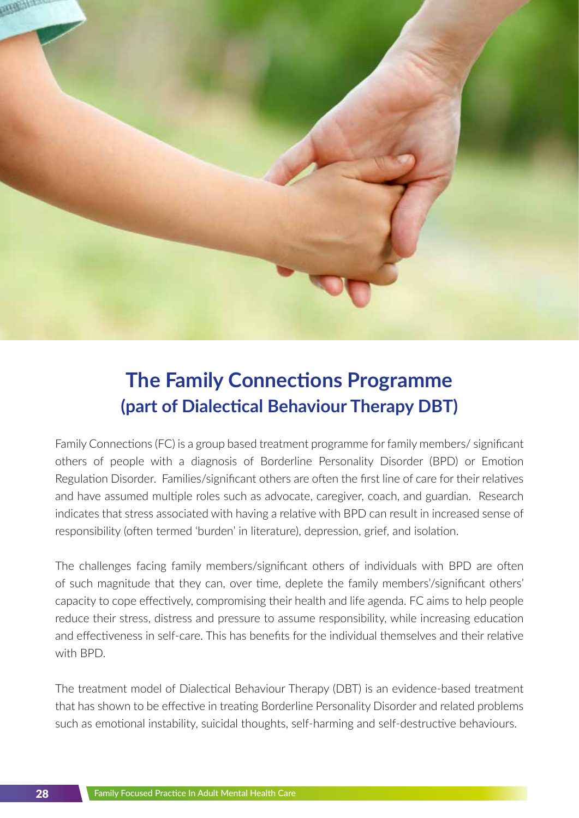

### **The Family Connections Programme (part of Dialectical Behaviour Therapy DBT)**

Family Connections (FC) is a group based treatment programme for family members/ significant others of people with a diagnosis of Borderline Personality Disorder (BPD) or Emotion Regulation Disorder. Families/significant others are often the first line of care for their relatives and have assumed multiple roles such as advocate, caregiver, coach, and guardian. Research indicates that stress associated with having a relative with BPD can result in increased sense of responsibility (often termed 'burden' in literature), depression, grief, and isolation.

The challenges facing family members/significant others of individuals with BPD are often of such magnitude that they can, over time, deplete the family members'/significant others' capacity to cope effectively, compromising their health and life agenda. FC aims to help people reduce their stress, distress and pressure to assume responsibility, while increasing education and effectiveness in self-care. This has benefits for the individual themselves and their relative with BPD.

The treatment model of Dialectical Behaviour Therapy (DBT) is an evidence-based treatment that has shown to be effective in treating Borderline Personality Disorder and related problems such as emotional instability, suicidal thoughts, self-harming and self-destructive behaviours.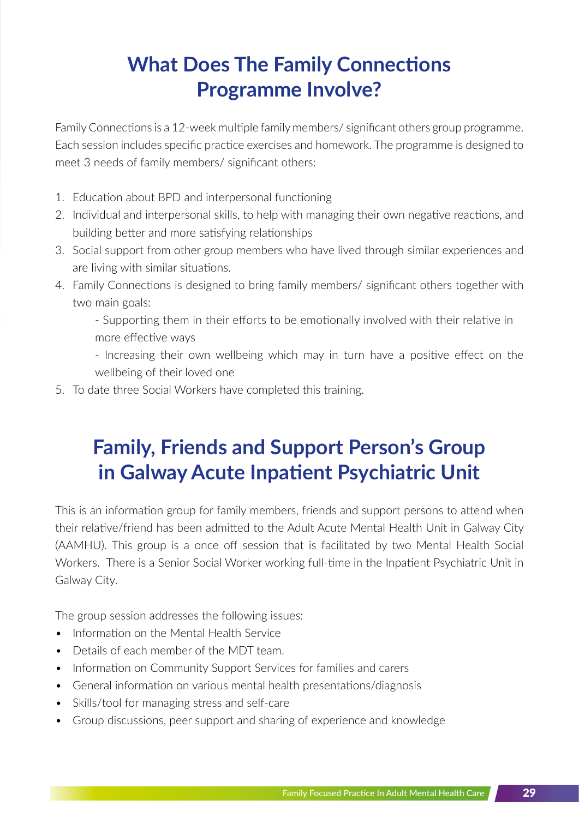# **What Does The Family Connections Programme Involve?**

Family Connections is a 12-week multiple family members/ significant others group programme. Each session includes specific practice exercises and homework. The programme is designed to meet 3 needs of family members/ significant others:

- 1. Education about BPD and interpersonal functioning
- 2. Individual and interpersonal skills, to help with managing their own negative reactions, and building better and more satisfying relationships
- 3. Social support from other group members who have lived through similar experiences and are living with similar situations.
- 4. Family Connections is designed to bring family members/ significant others together with two main goals:
	- Supporting them in their efforts to be emotionally involved with their relative in more effective ways
	- Increasing their own wellbeing which may in turn have a positive effect on the wellbeing of their loved one
- 5. To date three Social Workers have completed this training.

### **Family, Friends and Support Person's Group in Galway Acute Inpatient Psychiatric Unit**

This is an information group for family members, friends and support persons to attend when their relative/friend has been admitted to the Adult Acute Mental Health Unit in Galway City (AAMHU). This group is a once off session that is facilitated by two Mental Health Social Workers. There is a Senior Social Worker working full-time in the Inpatient Psychiatric Unit in Galway City.

The group session addresses the following issues:

- Information on the Mental Health Service
- Details of each member of the MDT team.
- Information on Community Support Services for families and carers
- General information on various mental health presentations/diagnosis
- Skills/tool for managing stress and self-care
- Group discussions, peer support and sharing of experience and knowledge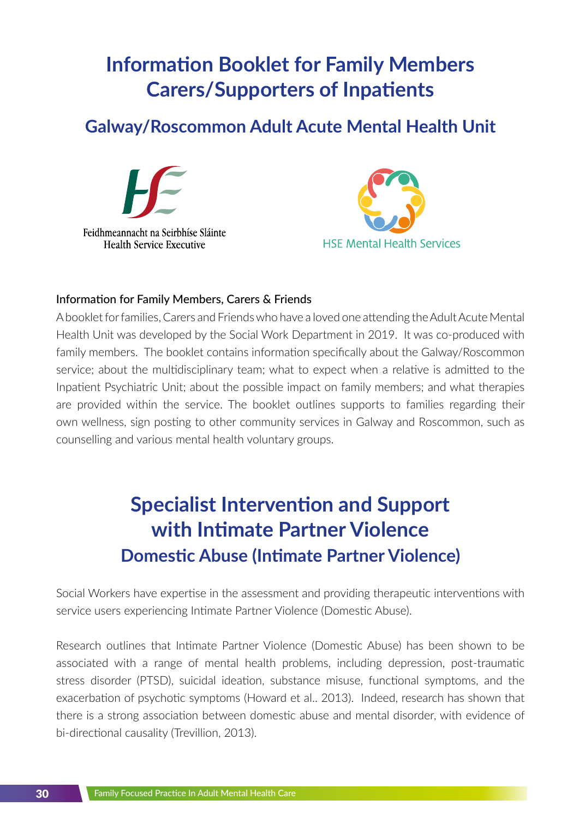#### **Information Booklet for Family Members Carers/Supporters of Inpatients**

#### **Galway/Roscommon Adult Acute Mental Health Unit**





#### Information for Family Members, Carers & Friends

A booklet for families, Carers and Friends who have a loved one attending the Adult Acute Mental Health Unit was developed by the Social Work Department in 2019. It was co-produced with family members. The booklet contains information specifically about the Galway/Roscommon service; about the multidisciplinary team; what to expect when a relative is admitted to the Inpatient Psychiatric Unit; about the possible impact on family members; and what therapies are provided within the service. The booklet outlines supports to families regarding their own wellness, sign posting to other community services in Galway and Roscommon, such as counselling and various mental health voluntary groups.

### **Specialist Intervention and Support with Intimate Partner Violence Domestic Abuse (Intimate Partner Violence)**

Social Workers have expertise in the assessment and providing therapeutic interventions with service users experiencing Intimate Partner Violence (Domestic Abuse).

Research outlines that Intimate Partner Violence (Domestic Abuse) has been shown to be associated with a range of mental health problems, including depression, post-traumatic stress disorder (PTSD), suicidal ideation, substance misuse, functional symptoms, and the exacerbation of psychotic symptoms (Howard et al.. 2013). Indeed, research has shown that there is a strong association between domestic abuse and mental disorder, with evidence of bi-directional causality (Trevillion, 2013).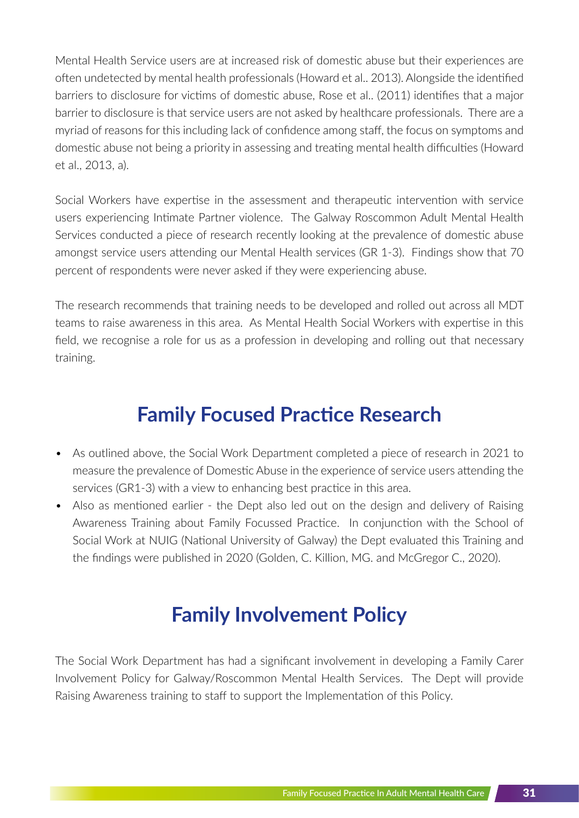Mental Health Service users are at increased risk of domestic abuse but their experiences are often undetected by mental health professionals (Howard et al.. 2013). Alongside the identified barriers to disclosure for victims of domestic abuse, Rose et al.. (2011) identifies that a major barrier to disclosure is that service users are not asked by healthcare professionals. There are a myriad of reasons for this including lack of confidence among staff, the focus on symptoms and domestic abuse not being a priority in assessing and treating mental health difficulties (Howard et al., 2013, a).

Social Workers have expertise in the assessment and therapeutic intervention with service users experiencing Intimate Partner violence. The Galway Roscommon Adult Mental Health Services conducted a piece of research recently looking at the prevalence of domestic abuse amongst service users attending our Mental Health services (GR 1-3). Findings show that 70 percent of respondents were never asked if they were experiencing abuse.

The research recommends that training needs to be developed and rolled out across all MDT teams to raise awareness in this area. As Mental Health Social Workers with expertise in this field, we recognise a role for us as a profession in developing and rolling out that necessary training.

#### **Family Focused Practice Research**

- As outlined above, the Social Work Department completed a piece of research in 2021 to measure the prevalence of Domestic Abuse in the experience of service users attending the services (GR1-3) with a view to enhancing best practice in this area.
- Also as mentioned earlier the Dept also led out on the design and delivery of Raising Awareness Training about Family Focussed Practice. In conjunction with the School of Social Work at NUIG (National University of Galway) the Dept evaluated this Training and the findings were published in 2020 (Golden, C. Killion, MG. and McGregor C., 2020).

#### **Family Involvement Policy**

The Social Work Department has had a significant involvement in developing a Family Carer Involvement Policy for Galway/Roscommon Mental Health Services. The Dept will provide Raising Awareness training to staff to support the Implementation of this Policy.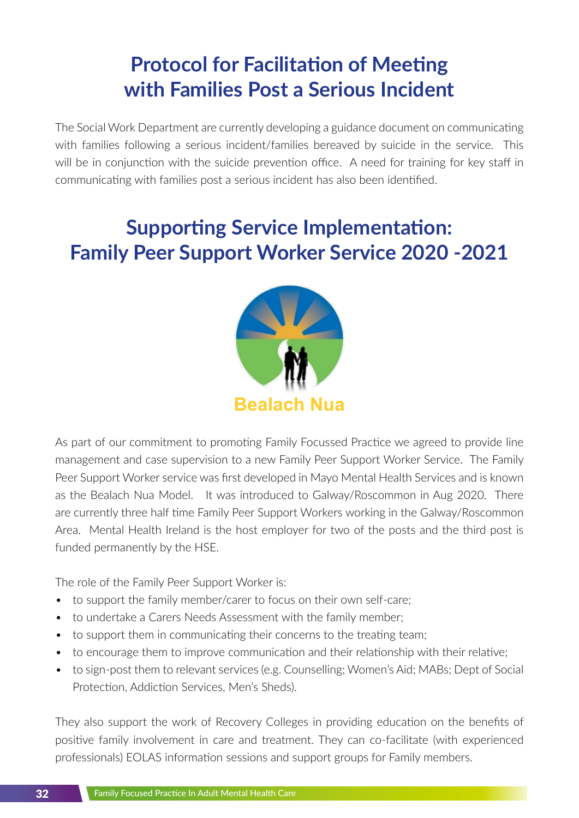# **Protocol for Facilitation of Meeting with Families Post a Serious Incident**

The Social Work Department are currently developing a guidance document on communicating with families following a serious incident/families bereaved by suicide in the service. This will be in conjunction with the suicide prevention office. A need for training for key staff in communicating with families post a serious incident has also been identified.

### **Supporting Service Implementation: Family Peer Support Worker Service 2020 -2021**



As part of our commitment to promoting Family Focussed Practice we agreed to provide line management and case supervision to a new Family Peer Support Worker Service. The Family Peer Support Worker service was first developed in Mayo Mental Health Services and is known as the Bealach Nua Model. It was introduced to Galway/Roscommon in Aug 2020. There are currently three half time Family Peer Support Workers working in the Galway/Roscommon Area. Mental Health Ireland is the host employer for two of the posts and the third post is funded permanently by the HSE.

The role of the Family Peer Support Worker is:

- to support the family member/carer to focus on their own self-care;
- to undertake a Carers Needs Assessment with the family member;
- to support them in communicating their concerns to the treating team;
- to encourage them to improve communication and their relationship with their relative;
- to sign-post them to relevant services (e.g. Counselling; Women's Aid; MABs; Dept of Social Protection, Addiction Services, Men's Sheds).

They also support the work of Recovery Colleges in providing education on the benefits of positive family involvement in care and treatment. They can co-facilitate (with experienced professionals) EOLAS information sessions and support groups for Family members.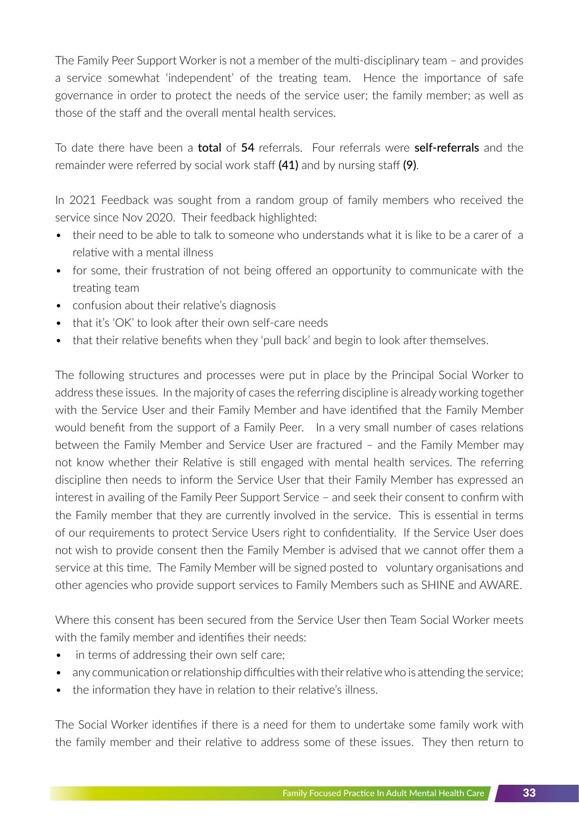The Family Peer Support Worker is not a member of the multi-disciplinary team – and provides a service somewhat 'independent' of the treating team. Hence the importance of safe governance in order to protect the needs of the service user; the family member; as well as those of the staff and the overall mental health services.

To date there have been a **total** of 54 referrals. Four referrals were **self-referrals** and the remainder were referred by social work staff (41) and by nursing staff (9).

In 2021 Feedback was sought from a random group of family members who received the service since Nov 2020. Their feedback highlighted:

- their need to be able to talk to someone who understands what it is like to be a carer of a relative with a mental illness
- for some, their frustration of not being offered an opportunity to communicate with the treating team
- confusion about their relative's diagnosis
- that it's 'OK' to look after their own self-care needs
- that their relative benefits when they 'pull back' and begin to look after themselves.

The following structures and processes were put in place by the Principal Social Worker to address these issues. In the majority of cases the referring discipline is already working together with the Service User and their Family Member and have identified that the Family Member would benefit from the support of a Family Peer. In a very small number of cases relations between the Family Member and Service User are fractured – and the Family Member may not know whether their Relative is still engaged with mental health services. The referring discipline then needs to inform the Service User that their Family Member has expressed an interest in availing of the Family Peer Support Service – and seek their consent to confirm with the Family member that they are currently involved in the service. This is essential in terms of our requirements to protect Service Users right to confidentiality. If the Service User does not wish to provide consent then the Family Member is advised that we cannot offer them a service at this time. The Family Member will be signed posted to voluntary organisations and other agencies who provide support services to Family Members such as SHINE and AWARE.

Where this consent has been secured from the Service User then Team Social Worker meets with the family member and identifies their needs:

- in terms of addressing their own self care;
- any communication or relationship difficulties with their relative who is attending the service;
- the information they have in relation to their relative's illness.

The Social Worker identifies if there is a need for them to undertake some family work with the family member and their relative to address some of these issues. They then return to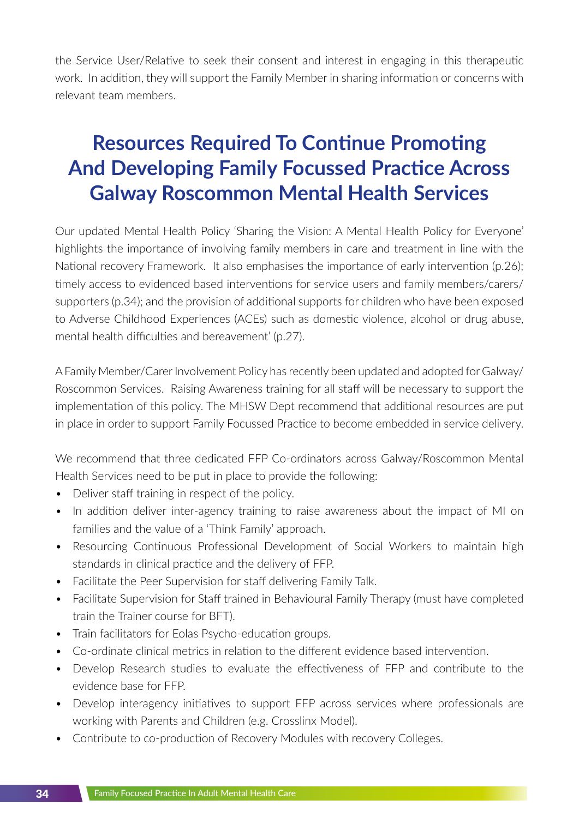the Service User/Relative to seek their consent and interest in engaging in this therapeutic work. In addition, they will support the Family Member in sharing information or concerns with relevant team members.

## **Resources Required To Continue Promoting And Developing Family Focussed Practice Across Galway Roscommon Mental Health Services**

Our updated Mental Health Policy 'Sharing the Vision: A Mental Health Policy for Everyone' highlights the importance of involving family members in care and treatment in line with the National recovery Framework. It also emphasises the importance of early intervention (p.26); timely access to evidenced based interventions for service users and family members/carers/ supporters (p.34); and the provision of additional supports for children who have been exposed to Adverse Childhood Experiences (ACEs) such as domestic violence, alcohol or drug abuse, mental health difficulties and bereavement' (p.27).

A Family Member/Carer Involvement Policy has recently been updated and adopted for Galway/ Roscommon Services. Raising Awareness training for all staff will be necessary to support the implementation of this policy. The MHSW Dept recommend that additional resources are put in place in order to support Family Focussed Practice to become embedded in service delivery.

We recommend that three dedicated FFP Co-ordinators across Galway/Roscommon Mental Health Services need to be put in place to provide the following:

- Deliver staff training in respect of the policy.
- In addition deliver inter-agency training to raise awareness about the impact of MI on families and the value of a 'Think Family' approach.
- Resourcing Continuous Professional Development of Social Workers to maintain high standards in clinical practice and the delivery of FFP.
- Facilitate the Peer Supervision for staff delivering Family Talk.
- Facilitate Supervision for Staff trained in Behavioural Family Therapy (must have completed train the Trainer course for BFT).
- Train facilitators for Eolas Psycho-education groups.
- Co-ordinate clinical metrics in relation to the different evidence based intervention.
- Develop Research studies to evaluate the effectiveness of FFP and contribute to the evidence base for FFP.
- Develop interagency initiatives to support FFP across services where professionals are working with Parents and Children (e.g. Crosslinx Model).
- Contribute to co-production of Recovery Modules with recovery Colleges.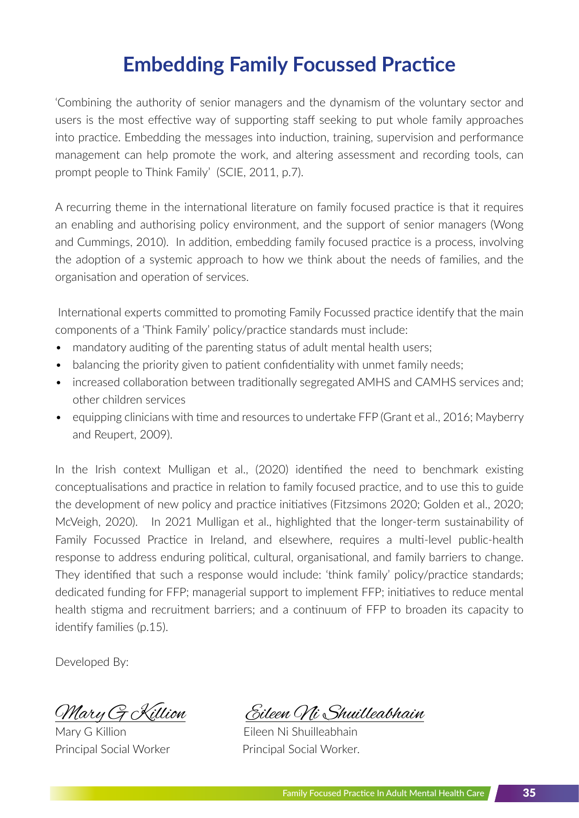#### **Embedding Family Focussed Practice**

'Combining the authority of senior managers and the dynamism of the voluntary sector and users is the most effective way of supporting staff seeking to put whole family approaches into practice. Embedding the messages into induction, training, supervision and performance management can help promote the work, and altering assessment and recording tools, can prompt people to Think Family' (SCIE, 2011, p.7).

A recurring theme in the international literature on family focused practice is that it requires an enabling and authorising policy environment, and the support of senior managers (Wong and Cummings, 2010). In addition, embedding family focused practice is a process, involving the adoption of a systemic approach to how we think about the needs of families, and the organisation and operation of services.

 International experts committed to promoting Family Focussed practice identify that the main components of a 'Think Family' policy/practice standards must include:

- mandatory auditing of the parenting status of adult mental health users;
- balancing the priority given to patient confidentiality with unmet family needs;
- increased collaboration between traditionally segregated AMHS and CAMHS services and; other children services
- equipping clinicians with time and resources to undertake FFP (Grant et al., 2016; Mayberry and Reupert, 2009).

In the Irish context Mulligan et al., (2020) identified the need to benchmark existing conceptualisations and practice in relation to family focused practice, and to use this to guide the development of new policy and practice initiatives (Fitzsimons 2020; Golden et al., 2020; McVeigh, 2020). In 2021 Mulligan et al., highlighted that the longer-term sustainability of Family Focussed Practice in Ireland, and elsewhere, requires a multi-level public-health response to address enduring political, cultural, organisational, and family barriers to change. They identified that such a response would include: 'think family' policy/practice standards; dedicated funding for FFP; managerial support to implement FFP; initiatives to reduce mental health stigma and recruitment barriers; and a continuum of FFP to broaden its capacity to identify families (p.15).

Developed By:

<u>Mary G Killion Eileen VIi Shuilleabhain</u><br>Mary G Killion Eileen Ni Shuilleabhain

Eileen Ni Shuilleabhain Principal Social Worker Principal Social Worker.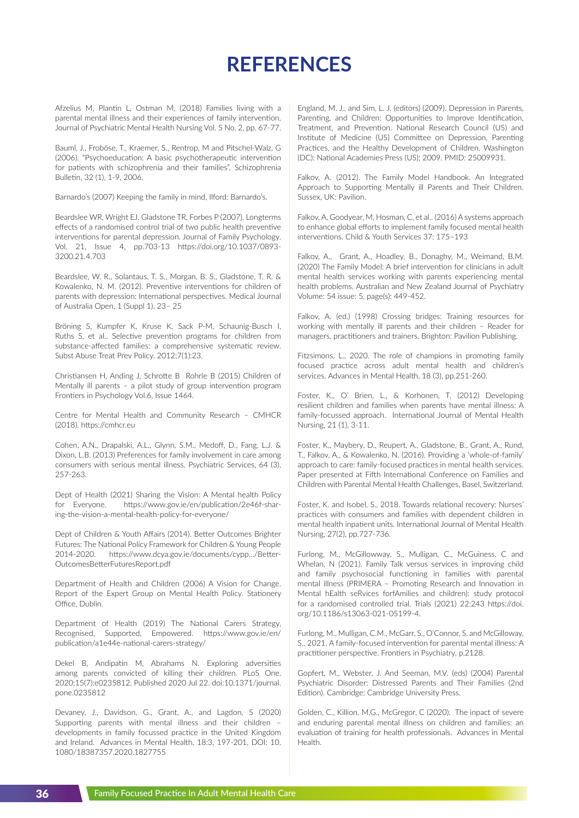#### **REFERENCES**

Afzelius M, Plantin L, Ostman M, (2018) Families living with a parental mental illness and their experiences of family intervention. Journal of Psychiatric Mental Health Nursing Vol. 5 No. 2, pp. 67-77.

Bauml, J., Froböse, T., Kraemer, S., Rentrop, M and Pitschel-Walz, G (2006). "Psychoeducation: A basic psychotherapeutic intervention for patients with schizophrenia and their families", Schizophrenia Bulletin, 32 (1), 1-9, 2006.

Barnardo's (2007) Keeping the family in mind, Ilford: Barnardo's.

Beardslee WR, Wright EJ, Gladstone TR, Forbes P (2007). Longterms effects of a randomised control trial of two public health preventive interventions for parental depression. Journal of Family Psychology. Vol. 21, Issue 4, pp.703-13 https://doi.org/10.1037/0893- 3200.21.4.703

Beardslee, W. R., Solantaus, T. S., Morgan, B. S., Gladstone, T. R. & Kowalenko, N. M. (2012). Preventive interventions for children of parents with depression: International perspectives. Medical Journal of Australia Open, 1 (Suppl 1), 23– 25

Bröning S, Kumpfer K, Kruse K, Sack P-M, Schaunig-Busch I, Ruths S, et al.. Selective prevention programs for children from substance-affected families: a comprehensive systematic review. Subst Abuse Treat Prev Policy. 2012;7(1):23.

Christiansen H, Anding J, Schrotte B Rohrle B (2015) Children of Mentally ill parents – a pilot study of group intervention program Frontiers in Psychology Vol.6, Issue 1464.

Centre for Mental Health and Community Research – CMHCR (2018). https://cmhcr.eu

Cohen, A.N., Drapalski, A.L., Glynn, S.M., Medoff, D., Fang, L.J. & Dixon, L.B. (2013) Preferences for family involvement in care among consumers with serious mental illness. Psychiatric Services, 64 (3), 257-263.

Dept of Health (2021) Sharing the Vision: A Mental health Policy for Everyone. https://www.gov.ie/en/publication/2e46f-sharing-the-vision-a-mental-health-policy-for-everyone/

Dept of Children & Youth Affairs (2014). Better Outcomes Brighter Futures: The National Policy Framework for Children & Young People 2014-2020. https://www.dcya.gov.ie/documents/cypp.../Better-OutcomesBetterFuturesReport.pdf

Department of Health and Children (2006) A Vision for Change. Report of the Expert Group on Mental Health Policy. Stationery Office, Dublin.

Department of Health (2019) The National Carers Strategy, Recognised, Supported, Empowered. https://www.gov.ie/en/ publication/a1e44e-national-carers-strategy/

Dekel B, Andipatin M, Abrahams N. Exploring adversities among parents convicted of killing their children. PLoS One. 2020;15(7):e0235812. Published 2020 Jul 22. doi:10.1371/journal. pone.0235812

Devaney, J., Davidson, G., Grant, A., and Lagdon, S (2020) Supporting parents with mental illness and their children – developments in family focussed practice in the United Kingdom and Ireland. Advances in Mental Health, 18:3, 197-201, DOI: 10. 1080/18387357.2020.1827755

England, M. J., and Sim, L. J. (editors) (2009). Depression in Parents, Parenting, and Children: Opportunities to Improve Identification, Treatment, and Prevention. National Research Council (US) and Institute of Medicine (US) Committee on Depression, Parenting Practices, and the Healthy Development of Children. Washington (DC): National Academies Press (US); 2009. PMID: 25009931.

Falkov, A. (2012). The Family Model Handbook. An Integrated Approach to Supporting Mentally ill Parents and Their Children. Sussex, UK: Pavilion.

Falkov, A, Goodyear, M, Hosman, C, et al.. (2016) A systems approach to enhance global efforts to implement family focused mental health interventions. Child & Youth Services 37: 175–193

Falkov, A., Grant, A., Hoadley, B., Donaghy, M., Weimand, B.M. (2020) The Family Model: A brief intervention for clinicians in adult mental health services working with parents experiencing mental health problems. Australian and New Zealand Journal of Psychiatry Volume: 54 issue: 5, page(s): 449-452.

Falkov, A. (ed.) (1998) Crossing bridges: Training resources for working with mentally ill parents and their children – Reader for managers, practitioners and trainers. Brighton: Pavilion Publishing.

Fitzsimons, L., 2020. The role of champions in promoting family focused practice across adult mental health and children's services. Advances in Mental Health, 18 (3), pp.251-260.

Foster, K., O' Brien, L., & Korhonen, T. (2012) Developing resilient children and families when parents have mental illness: A family-focussed approach. International Journal of Mental Health Nursing, 21 (1), 3-11.

Foster, K., Maybery, D., Reupert, A., Gladstone, B., Grant, A., Rund, T., Falkov, A., & Kowalenko, N. (2016). Providing a 'whole-of-family' approach to care: family-focused practices in mental health services. Paper presented at Fifth International Conference on Families and Children with Parental Mental Health Challenges, Basel, Switzerland.

Foster, K. and Isobel, S., 2018. Towards relational recovery: Nurses' practices with consumers and families with dependent children in mental health inpatient units. International Journal of Mental Health Nursing, 27(2), pp.727-736.

Furlong, M., McGillowway, S., Mulligan, C., McGuiness, C and Whelan, N (2021). Family Talk versus services in improving child and family psychosocial functioning in families with parental mental illness (PRIMERA – Promoting Research and Innovation in Mental hEalth seRvices forfAmilies and children): study protocol for a randomised controlled trial. Trials (2021) 22:243 https://doi. org/10.1186/s13063-021-05199-4.

Furlong, M., Mulligan, C.M., McGarr, S., O'Connor, S. and McGilloway, S., 2021. A family-focused intervention for parental mental illness: A practitioner perspective. Frontiers in Psychiatry, p.2128.

Gopfert, M., Webster, J. And Seeman, M.V. (eds) (2004) Parental Psychiatric Disorder: Distressed Parents and Their Families (2nd Edition). Cambridge: Cambridge University Press.

Golden, C., Killion, M.G., McGregor, C (2020). The inpact of severe and enduring parental mental illness on children and families: an evaluation of training for health professionals. Advances in Mental Health.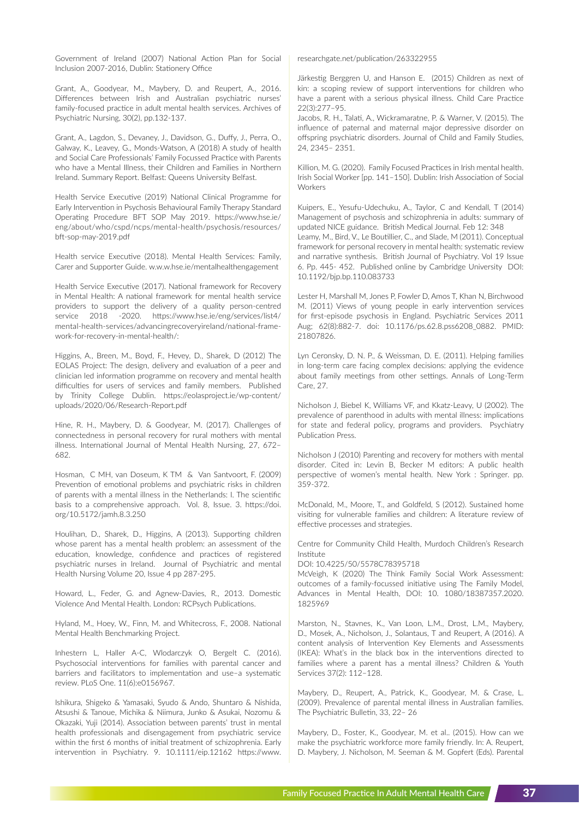Government of Ireland (2007) National Action Plan for Social Inclusion 2007-2016, Dublin: Stationery Office

Grant, A., Goodyear, M., Maybery, D. and Reupert, A., 2016. Differences between Irish and Australian psychiatric nurses' family-focused practice in adult mental health services. Archives of Psychiatric Nursing, 30(2), pp.132-137.

Grant, A., Lagdon, S., Devaney, J., Davidson, G., Duffy, J., Perra, O., Galway, K., Leavey, G., Monds-Watson, A (2018) A study of health and Social Care Professionals' Family Focussed Practice with Parents who have a Mental Illness, their Children and Families in Northern Ireland. Summary Report. Belfast: Queens University Belfast.

Health Service Executive (2019) National Clinical Programme for Early Intervention in Psychosis Behavioural Family Therapy Standard Operating Procedure BFT SOP May 2019. https://www.hse.ie/ eng/about/who/cspd/ncps/mental-health/psychosis/resources/ bft-sop-may-2019.pdf

Health service Executive (2018). Mental Health Services: Family, Carer and Supporter Guide. w.w.w.hse.ie/mentalhealthengagement

Health Service Executive (2017). National framework for Recovery in Mental Health: A national framework for mental health service providers to support the delivery of a quality person-centred service 2018 -2020. https://www.hse.ie/eng/services/list4/ mental-health-services/advancingrecoveryireland/national-framework-for-recovery-in-mental-health/:

Higgins, A., Breen, M., Boyd, F., Hevey, D., Sharek, D (2012) The EOLAS Project: The design, delivery and evaluation of a peer and clinician led information programme on recovery and mental health difficulties for users of services and family members. Published by Trinity College Dublin. https://eolasproject.ie/wp-content/ uploads/2020/06/Research-Report.pdf

Hine, R. H., Maybery, D. & Goodyear, M. (2017). Challenges of connectedness in personal recovery for rural mothers with mental illness. International Journal of Mental Health Nursing, 27, 672– 682.

Hosman, C MH, van Doseum, K TM & Van Santvoort, F. (2009) Prevention of emotional problems and psychiatric risks in children of parents with a mental illness in the Netherlands: I. The scientific basis to a comprehensive approach. Vol. 8, Issue. 3. https://doi. org/10.5172/jamh.8.3.250

Houlihan, D., Sharek, D., Higgins, A (2013). Supporting children whose parent has a mental health problem: an assessment of the education, knowledge, confidence and practices of registered psychiatric nurses in Ireland. Journal of Psychiatric and mental Health Nursing Volume 20, Issue 4 pp 287-295.

Howard, L., Feder, G. and Agnew-Davies, R., 2013. Domestic Violence And Mental Health. London: RCPsych Publications.

Hyland, M., Hoey, W., Finn, M. and Whitecross, F., 2008. National Mental Health Benchmarking Project.

Inhestern L, Haller A-C, Wlodarczyk O, Bergelt C. (2016). Psychosocial interventions for families with parental cancer and barriers and facilitators to implementation and use–a systematic review. PLoS One. 11(6):e0156967.

Ishikura, Shigeko & Yamasaki, Syudo & Ando, Shuntaro & Nishida, Atsushi & Tanoue, Michika & Niimura, Junko & Asukai, Nozomu & Okazaki, Yuji (2014). Association between parents' trust in mental health professionals and disengagement from psychiatric service within the first 6 months of initial treatment of schizophrenia. Early intervention in Psychiatry. 9. 10.1111/eip.12162 https://www. researchgate.net/publication/263322955

Järkestig Berggren U, and Hanson E. (2015) Children as next of kin: a scoping review of support interventions for children who have a parent with a serious physical illness. Child Care Practice 22(3):277–95.

Jacobs, R. H., Talati, A., Wickramaratne, P. & Warner, V. (2015). The influence of paternal and maternal major depressive disorder on offspring psychiatric disorders. Journal of Child and Family Studies, 24, 2345– 2351.

Killion, M. G. (2020). Family Focused Practices in Irish mental health. Irish Social Worker [pp. 141–150]. Dublin: Irish Association of Social **Workers** 

Kuipers, E., Yesufu-Udechuku, A., Taylor, C and Kendall, T (2014) Management of psychosis and schizophrenia in adults: summary of updated NICE guidance. British Medical Journal. Feb 12: 348 Leamy, M., Bird, V., Le Boutillier, C., and Slade, M (2011). Conceptual

framework for personal recovery in mental health: systematic review and narrative synthesis. British Journal of Psychiatry. Vol 19 Issue 6. Pp. 445- 452. Published online by Cambridge University DOI: 10.1192/bjp.bp.110.083733

Lester H, Marshall M, Jones P, Fowler D, Amos T, Khan N, Birchwood M. (2011) Views of young people in early intervention services for first-episode psychosis in England. Psychiatric Services 2011 Aug; 62(8):882-7. doi: 10.1176/ps.62.8.pss6208\_0882. PMID: 21807826.

Lyn Ceronsky, D. N. P., & Weissman, D. E. (2011). Helping families in long-term care facing complex decisions: applying the evidence about family meetings from other settings. Annals of Long-Term Care, 27.

Nicholson J, Biebel K, Williams VF, and Kkatz-Leavy, U (2002). The prevalence of parenthood in adults with mental illness: implications for state and federal policy, programs and providers. Psychiatry Publication Press.

Nicholson J (2010) Parenting and recovery for mothers with mental disorder. Cited in: Levin B, Becker M editors: A public health perspective of women's mental health. New York : Springer. pp. 359-372.

McDonald, M., Moore, T., and Goldfeld, S (2012). Sustained home visiting for vulnerable families and children: A literature review of effective processes and strategies.

Centre for Community Child Health, Murdoch Children's Research Institute

DOI: 10.4225/50/5578C78395718

McVeigh, K (2020) The Think Family Social Work Assessment: outcomes of a family-focussed initiative using The Family Model, Advances in Mental Health, DOI: 10. 1080/18387357.2020. 1825969

Marston, N., Stavnes, K., Van Loon, L.M., Drost, L.M., Maybery, D., Mosek, A., Nicholson, J., Solantaus, T and Reupert, A (2016). A content analysis of Intervention Key Elements and Assessments (IKEA): What's in the black box in the interventions directed to families where a parent has a mental illness? Children & Youth Services 37(2): 112–128.

Maybery, D., Reupert, A., Patrick, K., Goodyear, M. & Crase, L. (2009). Prevalence of parental mental illness in Australian families. The Psychiatric Bulletin, 33, 22– 26

Maybery, D., Foster, K., Goodyear, M. et al.. (2015). How can we make the psychiatric workforce more family friendly. In: A. Reupert, D. Maybery, J. Nicholson, M. Seeman & M. Gopfert (Eds). Parental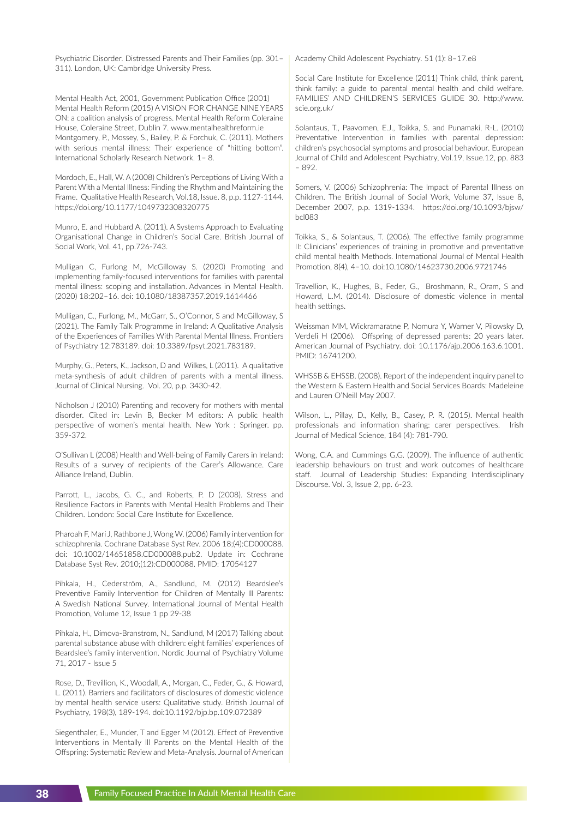Psychiatric Disorder. Distressed Parents and Their Families (pp. 301– 311). London, UK: Cambridge University Press.

Mental Health Act, 2001, Government Publication Office (2001) Mental Health Reform (2015) A VISION FOR CHANGE NINE YEARS ON: a coalition analysis of progress. Mental Health Reform Coleraine House, Coleraine Street, Dublin 7. www.mentalhealthreform.ie Montgomery, P., Mossey, S., Bailey, P. & Forchuk, C. (2011). Mothers with serious mental illness: Their experience of "hitting bottom". International Scholarly Research Network. 1– 8.

Mordoch, E., Hall, W. A (2008) Children's Perceptions of Living With a Parent With a Mental Illness: Finding the Rhythm and Maintaining the Frame. Qualitative Health Research, Vol.18, Issue. 8, p.p. 1127-1144. https://doi.org/10.1177/1049732308320775

Munro, E. and Hubbard A. (2011). A Systems Approach to Evaluating Organisational Change in Children's Social Care. British Journal of Social Work, Vol. 41, pp.726-743.

Mulligan C, Furlong M, McGilloway S. (2020) Promoting and implementing family-focused interventions for families with parental mental illness: scoping and installation. Advances in Mental Health. (2020) 18:202–16. doi: 10.1080/18387357.2019.1614466

Mulligan, C., Furlong, M., McGarr, S., O'Connor, S and McGilloway, S (2021). The Family Talk Programme in Ireland: A Qualitative Analysis of the Experiences of Families With Parental Mental Illness. Frontiers of Psychiatry 12:783189. doi: 10.3389/fpsyt.2021.783189.

Murphy, G., Peters, K., Jackson, D and Wilkes, L (2011). A qualitative meta-synthesis of adult children of parents with a mental illness. Journal of Clinical Nursing. Vol. 20, p.p. 3430-42.

Nicholson J (2010) Parenting and recovery for mothers with mental disorder. Cited in: Levin B, Becker M editors: A public health perspective of women's mental health. New York : Springer. pp. 359-372.

O'Sullivan L (2008) Health and Well-being of Family Carers in Ireland: Results of a survey of recipients of the Carer's Allowance. Care Alliance Ireland, Dublin.

Parrott, L., Jacobs, G. C., and Roberts, P. D (2008). Stress and Resilience Factors in Parents with Mental Health Problems and Their Children. London: Social Care Institute for Excellence.

Pharoah F, Mari J, Rathbone J, Wong W. (2006) Family intervention for schizophrenia. Cochrane Database Syst Rev. 2006 18;(4):CD000088. doi: 10.1002/14651858.CD000088.pub2. Update in: Cochrane Database Syst Rev. 2010;(12):CD000088. PMID: 17054127

Pihkala, H., Cederström, A., Sandlund, M. (2012) Beardslee's Preventive Family Intervention for Children of Mentally Ill Parents: A Swedish National Survey. International Journal of Mental Health Promotion, Volume 12, Issue 1 pp 29-38

Pihkala, H., Dimova-Branstrom, N., Sandlund, M (2017) Talking about parental substance abuse with children: eight families' experiences of Beardslee's family intervention. Nordic Journal of Psychiatry Volume 71, 2017 - Issue 5

Rose, D., Trevillion, K., Woodall, A., Morgan, C., Feder, G., & Howard, L. (2011). Barriers and facilitators of disclosures of domestic violence by mental health service users: Qualitative study. British Journal of Psychiatry, 198(3), 189-194. doi:10.1192/bjp.bp.109.072389

Siegenthaler, E., Munder, T and Egger M (2012). Effect of Preventive Interventions in Mentally Ill Parents on the Mental Health of the Offspring: Systematic Review and Meta-Analysis. Journal of American Academy Child Adolescent Psychiatry. 51 (1): 8–17.e8

Social Care Institute for Excellence (2011) Think child, think parent, think family: a guide to parental mental health and child welfare. FAMILIES' AND CHILDREN'S SERVICES GUIDE 30. http://www. scie.org.uk/

Solantaus, T., Paavomen, E.J., Toikka, S. and Punamaki, R-L. (2010) Preventative Intervention in families with parental depression: children's psychosocial symptoms and prosocial behaviour. European Journal of Child and Adolescent Psychiatry, Vol.19, Issue.12, pp. 883 – 892.

Somers, V. (2006) Schizophrenia: The Impact of Parental Illness on Children. The British Journal of Social Work, Volume 37, Issue 8, December 2007, p.p. 1319-1334. https://doi.org/10.1093/bjsw/ bcl083

Toikka, S., & Solantaus, T. (2006). The effective family programme II: Clinicians' experiences of training in promotive and preventative child mental health Methods. International Journal of Mental Health Promotion, 8(4), 4–10. doi:10.1080/14623730.2006.9721746

Travellion, K., Hughes, B., Feder, G., Broshmann, R., Oram, S and Howard, L.M. (2014). Disclosure of domestic violence in mental health settings.

Weissman MM, Wickramaratne P, Nomura Y, Warner V, Pilowsky D, Verdeli H (2006). Offspring of depressed parents: 20 years later. American Journal of Psychiatry. doi: 10.1176/ajp.2006.163.6.1001. PMID: 16741200.

WHSSB & EHSSB. (2008). Report of the independent inquiry panel to the Western & Eastern Health and Social Services Boards: Madeleine and Lauren O'Neill May 2007.

Wilson, L., Pillay, D., Kelly, B., Casey, P. R. (2015). Mental health professionals and information sharing: carer perspectives. Irish Journal of Medical Science, 184 (4): 781-790.

Wong, C.A. and Cummings G.G. (2009). The influence of authentic leadership behaviours on trust and work outcomes of healthcare staff. Journal of Leadership Studies: Expanding Interdisciplinary Discourse. Vol. 3, Issue 2, pp. 6-23.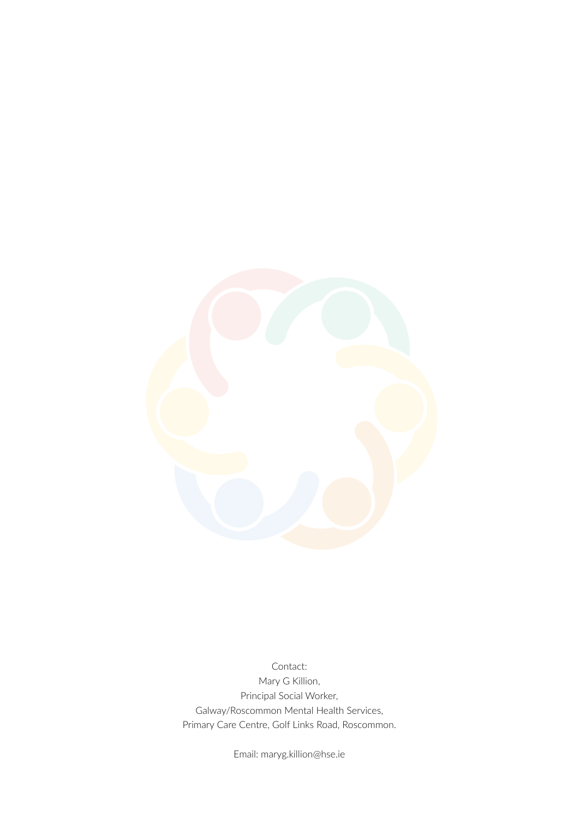

Contact:

Mary G Killion, Principal Social Worker, Galway/Roscommon Mental Health Services, Primary Care Centre, Golf Links Road, Roscommon.

Email: maryg.killion@hse.ie